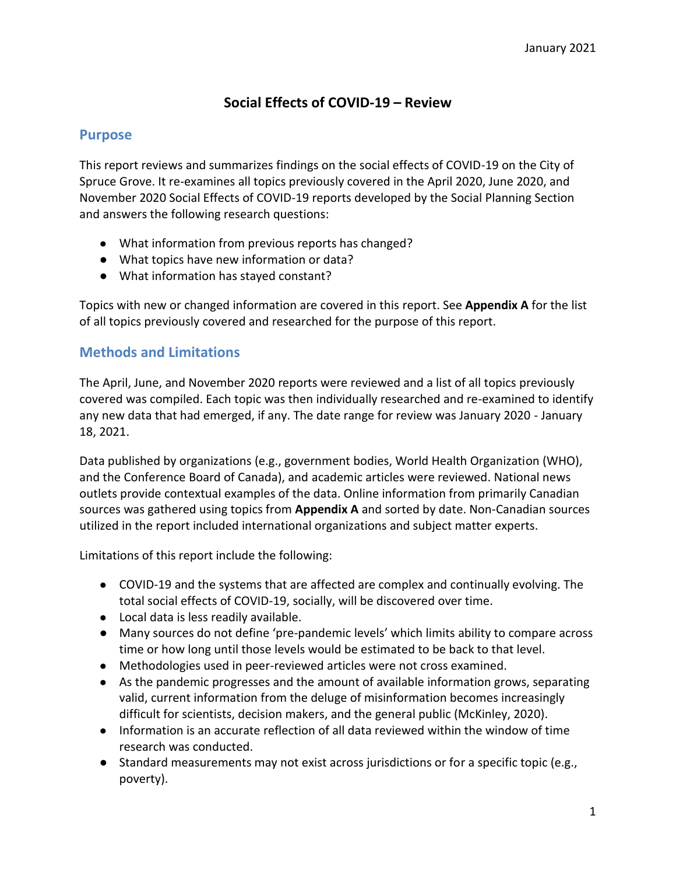# **Social Effects of COVID-19 – Review**

### **Purpose**

This report reviews and summarizes findings on the social effects of COVID-19 on the City of Spruce Grove. It re-examines all topics previously covered in the April 2020, June 2020, and November 2020 Social Effects of COVID-19 reports developed by the Social Planning Section and answers the following research questions:

- What information from previous reports has changed?
- What topics have new information or data?
- What information has stayed constant?

Topics with new or changed information are covered in this report. See **Appendix A** for the list of all topics previously covered and researched for the purpose of this report.

# **Methods and Limitations**

The April, June, and November 2020 reports were reviewed and a list of all topics previously covered was compiled. Each topic was then individually researched and re-examined to identify any new data that had emerged, if any. The date range for review was January 2020 - January 18, 2021.

Data published by organizations (e.g., government bodies, World Health Organization (WHO), and the Conference Board of Canada), and academic articles were reviewed. National news outlets provide contextual examples of the data. Online information from primarily Canadian sources was gathered using topics from **Appendix A** and sorted by date. Non-Canadian sources utilized in the report included international organizations and subject matter experts.

Limitations of this report include the following:

- COVID-19 and the systems that are affected are complex and continually evolving. The total social effects of COVID-19, socially, will be discovered over time.
- Local data is less readily available.
- Many sources do not define 'pre-pandemic levels' which limits ability to compare across time or how long until those levels would be estimated to be back to that level.
- Methodologies used in peer-reviewed articles were not cross examined.
- As the pandemic progresses and the amount of available information grows, separating valid, current information from the deluge of misinformation becomes increasingly difficult for scientists, decision makers, and the general public (McKinley, 2020).
- Information is an accurate reflection of all data reviewed within the window of time research was conducted.
- Standard measurements may not exist across jurisdictions or for a specific topic (e.g., poverty).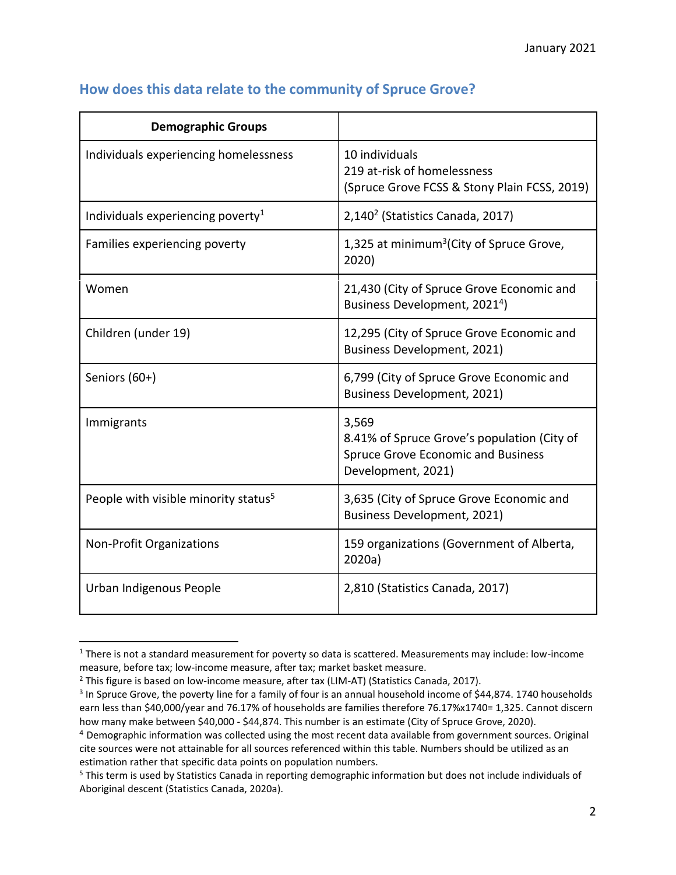| <b>Demographic Groups</b>                        |                                                                                                                         |
|--------------------------------------------------|-------------------------------------------------------------------------------------------------------------------------|
| Individuals experiencing homelessness            | 10 individuals<br>219 at-risk of homelessness<br>(Spruce Grove FCSS & Stony Plain FCSS, 2019)                           |
| Individuals experiencing poverty <sup>1</sup>    | 2,140 <sup>2</sup> (Statistics Canada, 2017)                                                                            |
| Families experiencing poverty                    | 1,325 at minimum <sup>3</sup> (City of Spruce Grove,<br>2020)                                                           |
| Women                                            | 21,430 (City of Spruce Grove Economic and<br>Business Development, 2021 <sup>4</sup> )                                  |
| Children (under 19)                              | 12,295 (City of Spruce Grove Economic and<br><b>Business Development, 2021)</b>                                         |
| Seniors (60+)                                    | 6,799 (City of Spruce Grove Economic and<br><b>Business Development, 2021)</b>                                          |
| Immigrants                                       | 3,569<br>8.41% of Spruce Grove's population (City of<br><b>Spruce Grove Economic and Business</b><br>Development, 2021) |
| People with visible minority status <sup>5</sup> | 3,635 (City of Spruce Grove Economic and<br><b>Business Development, 2021)</b>                                          |
| <b>Non-Profit Organizations</b>                  | 159 organizations (Government of Alberta,<br>2020a)                                                                     |
| Urban Indigenous People                          | 2,810 (Statistics Canada, 2017)                                                                                         |

# **How does this data relate to the community of Spruce Grove?**

 $\overline{a}$ 

<sup>1</sup> There is not a standard measurement for poverty so data is scattered. Measurements may include: low-income measure, before tax; low-income measure, after tax; market basket measure.

<sup>&</sup>lt;sup>2</sup> This figure is based on low-income measure, after tax (LIM-AT) (Statistics Canada, 2017).

<sup>&</sup>lt;sup>3</sup> In Spruce Grove, the poverty line for a family of four is an annual household income of \$44,874. 1740 households earn less than \$40,000/year and 76.17% of households are families therefore 76.17%x1740= 1,325. Cannot discern how many make between \$40,000 - \$44,874. This number is an estimate (City of Spruce Grove, 2020).

<sup>4</sup> Demographic information was collected using the most recent data available from government sources. Original cite sources were not attainable for all sources referenced within this table. Numbers should be utilized as an estimation rather that specific data points on population numbers.

<sup>&</sup>lt;sup>5</sup> This term is used by Statistics Canada in reporting demographic information but does not include individuals of Aboriginal descent (Statistics Canada, 2020a).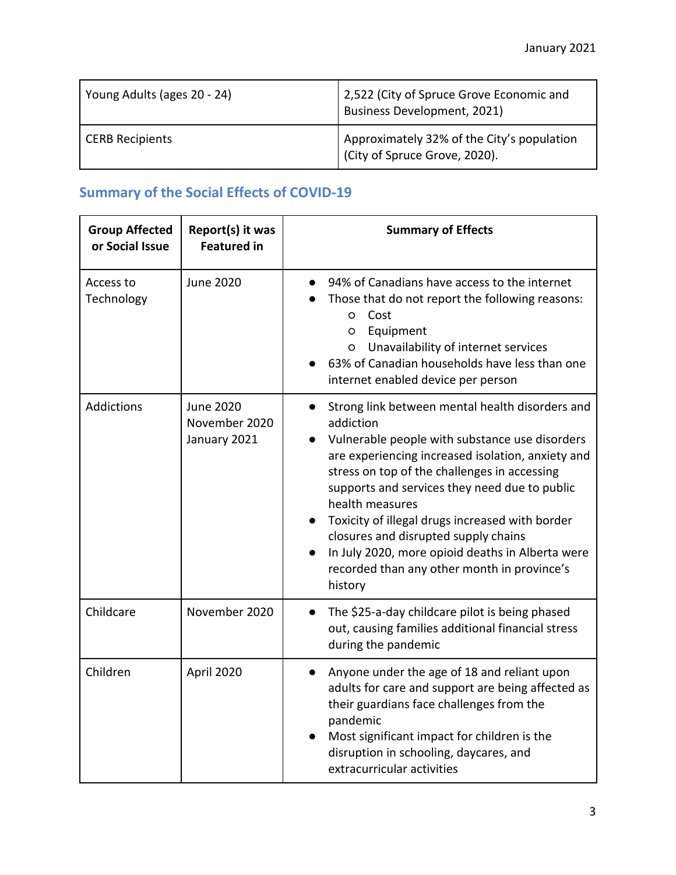| Young Adults (ages 20 - 24) | 2,522 (City of Spruce Grove Economic and<br>Business Development, 2021)    |
|-----------------------------|----------------------------------------------------------------------------|
| <b>CERB Recipients</b>      | Approximately 32% of the City's population<br>City of Spruce Grove, 2020). |

# **Summary of the Social Effects of COVID-19**

| <b>Group Affected</b><br>or Social Issue | Report(s) it was<br><b>Featured in</b>            | <b>Summary of Effects</b>                                                                                                                                                                                                                                                                                                                                                                                                                                                                                     |
|------------------------------------------|---------------------------------------------------|---------------------------------------------------------------------------------------------------------------------------------------------------------------------------------------------------------------------------------------------------------------------------------------------------------------------------------------------------------------------------------------------------------------------------------------------------------------------------------------------------------------|
| Access to<br>Technology                  | <b>June 2020</b>                                  | 94% of Canadians have access to the internet<br>Those that do not report the following reasons:<br>Cost<br>$\circ$<br>Equipment<br>$\circ$<br>Unavailability of internet services<br>$\circ$<br>63% of Canadian households have less than one<br>internet enabled device per person                                                                                                                                                                                                                           |
| <b>Addictions</b>                        | <b>June 2020</b><br>November 2020<br>January 2021 | Strong link between mental health disorders and<br>addiction<br>Vulnerable people with substance use disorders<br>$\bullet$<br>are experiencing increased isolation, anxiety and<br>stress on top of the challenges in accessing<br>supports and services they need due to public<br>health measures<br>Toxicity of illegal drugs increased with border<br>closures and disrupted supply chains<br>In July 2020, more opioid deaths in Alberta were<br>recorded than any other month in province's<br>history |
| Childcare                                | November 2020                                     | The \$25-a-day childcare pilot is being phased<br>out, causing families additional financial stress<br>during the pandemic                                                                                                                                                                                                                                                                                                                                                                                    |
| Children                                 | April 2020                                        | Anyone under the age of 18 and reliant upon<br>$\bullet$<br>adults for care and support are being affected as<br>their guardians face challenges from the<br>pandemic<br>Most significant impact for children is the<br>disruption in schooling, daycares, and<br>extracurricular activities                                                                                                                                                                                                                  |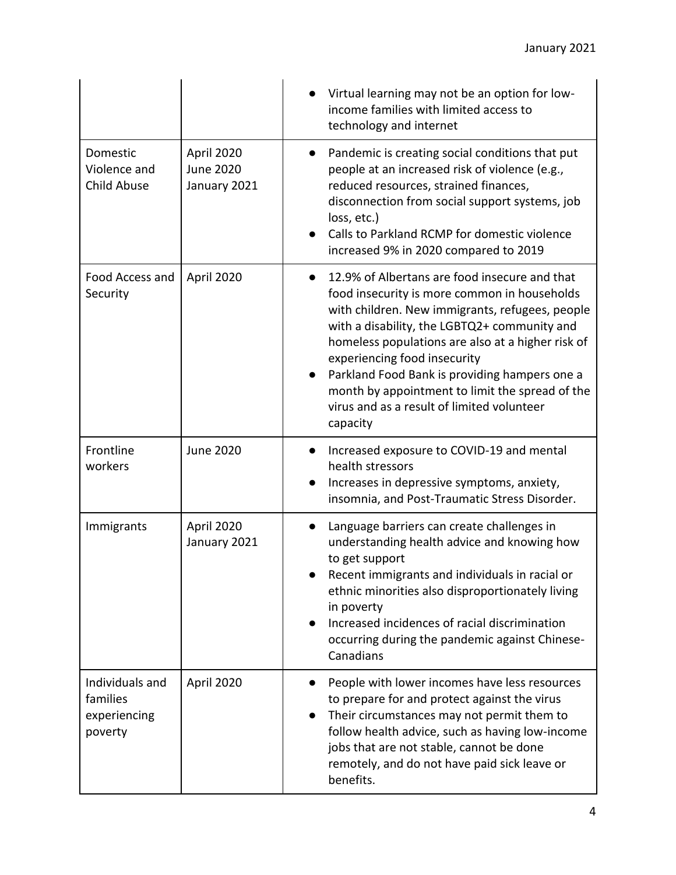|                                                        |                                                | Virtual learning may not be an option for low-<br>income families with limited access to<br>technology and internet                                                                                                                                                                                                                                                                                                                                              |
|--------------------------------------------------------|------------------------------------------------|------------------------------------------------------------------------------------------------------------------------------------------------------------------------------------------------------------------------------------------------------------------------------------------------------------------------------------------------------------------------------------------------------------------------------------------------------------------|
| Domestic<br>Violence and<br>Child Abuse                | April 2020<br><b>June 2020</b><br>January 2021 | Pandemic is creating social conditions that put<br>$\bullet$<br>people at an increased risk of violence (e.g.,<br>reduced resources, strained finances,<br>disconnection from social support systems, job<br>loss, etc.)<br>Calls to Parkland RCMP for domestic violence<br>increased 9% in 2020 compared to 2019                                                                                                                                                |
| Food Access and<br>Security                            | April 2020                                     | 12.9% of Albertans are food insecure and that<br>$\bullet$<br>food insecurity is more common in households<br>with children. New immigrants, refugees, people<br>with a disability, the LGBTQ2+ community and<br>homeless populations are also at a higher risk of<br>experiencing food insecurity<br>Parkland Food Bank is providing hampers one a<br>month by appointment to limit the spread of the<br>virus and as a result of limited volunteer<br>capacity |
| Frontline<br>workers                                   | <b>June 2020</b>                               | Increased exposure to COVID-19 and mental<br>health stressors<br>Increases in depressive symptoms, anxiety,<br>$\bullet$<br>insomnia, and Post-Traumatic Stress Disorder.                                                                                                                                                                                                                                                                                        |
| Immigrants                                             | April 2020<br>January 2021                     | Language barriers can create challenges in<br>$\bullet$<br>understanding health advice and knowing how<br>to get support<br>Recent immigrants and individuals in racial or<br>ethnic minorities also disproportionately living<br>in poverty<br>Increased incidences of racial discrimination<br>occurring during the pandemic against Chinese-<br>Canadians                                                                                                     |
| Individuals and<br>families<br>experiencing<br>poverty | April 2020                                     | People with lower incomes have less resources<br>to prepare for and protect against the virus<br>Their circumstances may not permit them to<br>follow health advice, such as having low-income<br>jobs that are not stable, cannot be done<br>remotely, and do not have paid sick leave or<br>benefits.                                                                                                                                                          |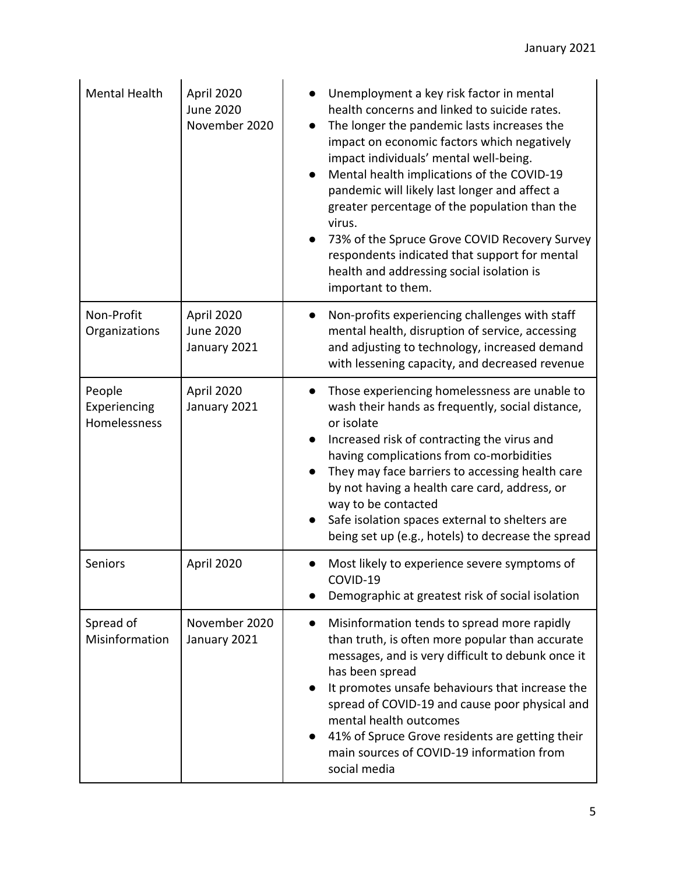| Mental Health                          | April 2020<br><b>June 2020</b><br>November 2020 | Unemployment a key risk factor in mental<br>health concerns and linked to suicide rates.<br>The longer the pandemic lasts increases the<br>impact on economic factors which negatively<br>impact individuals' mental well-being.<br>Mental health implications of the COVID-19<br>pandemic will likely last longer and affect a<br>greater percentage of the population than the<br>virus.<br>73% of the Spruce Grove COVID Recovery Survey<br>respondents indicated that support for mental<br>health and addressing social isolation is<br>important to them. |
|----------------------------------------|-------------------------------------------------|-----------------------------------------------------------------------------------------------------------------------------------------------------------------------------------------------------------------------------------------------------------------------------------------------------------------------------------------------------------------------------------------------------------------------------------------------------------------------------------------------------------------------------------------------------------------|
| Non-Profit<br>Organizations            | April 2020<br><b>June 2020</b><br>January 2021  | Non-profits experiencing challenges with staff<br>mental health, disruption of service, accessing<br>and adjusting to technology, increased demand<br>with lessening capacity, and decreased revenue                                                                                                                                                                                                                                                                                                                                                            |
| People<br>Experiencing<br>Homelessness | April 2020<br>January 2021                      | Those experiencing homelessness are unable to<br>wash their hands as frequently, social distance,<br>or isolate<br>Increased risk of contracting the virus and<br>having complications from co-morbidities<br>They may face barriers to accessing health care<br>by not having a health care card, address, or<br>way to be contacted<br>Safe isolation spaces external to shelters are<br>being set up (e.g., hotels) to decrease the spread                                                                                                                   |
| Seniors                                | April 2020                                      | Most likely to experience severe symptoms of<br>COVID-19<br>Demographic at greatest risk of social isolation                                                                                                                                                                                                                                                                                                                                                                                                                                                    |
| Spread of<br>Misinformation            | November 2020<br>January 2021                   | Misinformation tends to spread more rapidly<br>$\bullet$<br>than truth, is often more popular than accurate<br>messages, and is very difficult to debunk once it<br>has been spread<br>It promotes unsafe behaviours that increase the<br>$\bullet$<br>spread of COVID-19 and cause poor physical and<br>mental health outcomes<br>41% of Spruce Grove residents are getting their<br>$\bullet$<br>main sources of COVID-19 information from<br>social media                                                                                                    |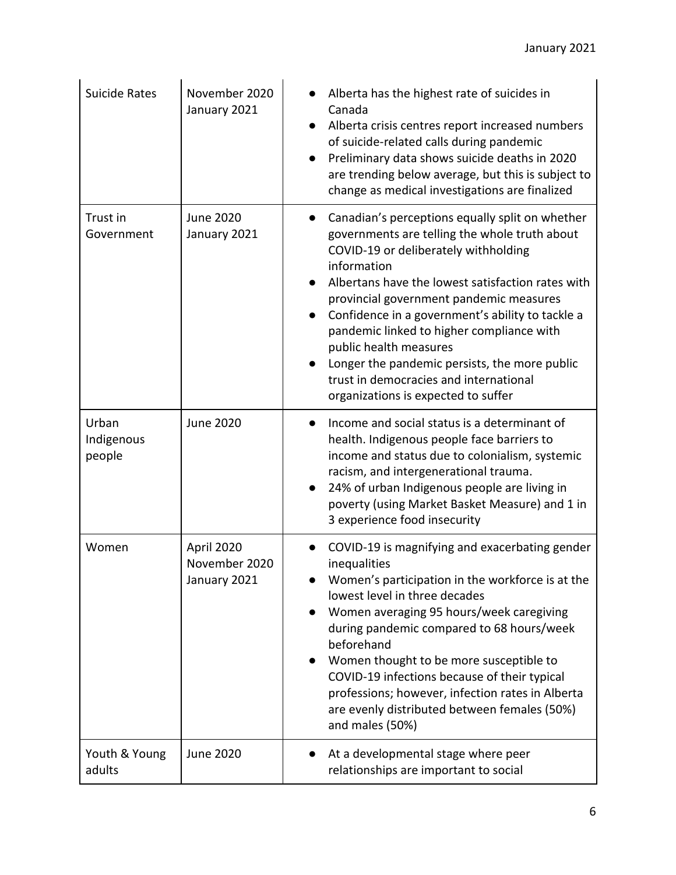| <b>Suicide Rates</b>          | November 2020<br>January 2021               | Alberta has the highest rate of suicides in<br>Canada<br>Alberta crisis centres report increased numbers<br>of suicide-related calls during pandemic<br>Preliminary data shows suicide deaths in 2020<br>are trending below average, but this is subject to<br>change as medical investigations are finalized                                                                                                                                                                                                        |
|-------------------------------|---------------------------------------------|----------------------------------------------------------------------------------------------------------------------------------------------------------------------------------------------------------------------------------------------------------------------------------------------------------------------------------------------------------------------------------------------------------------------------------------------------------------------------------------------------------------------|
| Trust in<br>Government        | <b>June 2020</b><br>January 2021            | Canadian's perceptions equally split on whether<br>governments are telling the whole truth about<br>COVID-19 or deliberately withholding<br>information<br>Albertans have the lowest satisfaction rates with<br>provincial government pandemic measures<br>Confidence in a government's ability to tackle a<br>pandemic linked to higher compliance with<br>public health measures<br>Longer the pandemic persists, the more public<br>trust in democracies and international<br>organizations is expected to suffer |
| Urban<br>Indigenous<br>people | <b>June 2020</b>                            | Income and social status is a determinant of<br>health. Indigenous people face barriers to<br>income and status due to colonialism, systemic<br>racism, and intergenerational trauma.<br>24% of urban Indigenous people are living in<br>poverty (using Market Basket Measure) and 1 in<br>3 experience food insecurity                                                                                                                                                                                              |
| Women                         | April 2020<br>November 2020<br>January 2021 | COVID-19 is magnifying and exacerbating gender<br>inequalities<br>Women's participation in the workforce is at the<br>lowest level in three decades<br>Women averaging 95 hours/week caregiving<br>during pandemic compared to 68 hours/week<br>beforehand<br>Women thought to be more susceptible to<br>$\bullet$<br>COVID-19 infections because of their typical<br>professions; however, infection rates in Alberta<br>are evenly distributed between females (50%)<br>and males (50%)                            |
| Youth & Young<br>adults       | <b>June 2020</b>                            | At a developmental stage where peer<br>relationships are important to social                                                                                                                                                                                                                                                                                                                                                                                                                                         |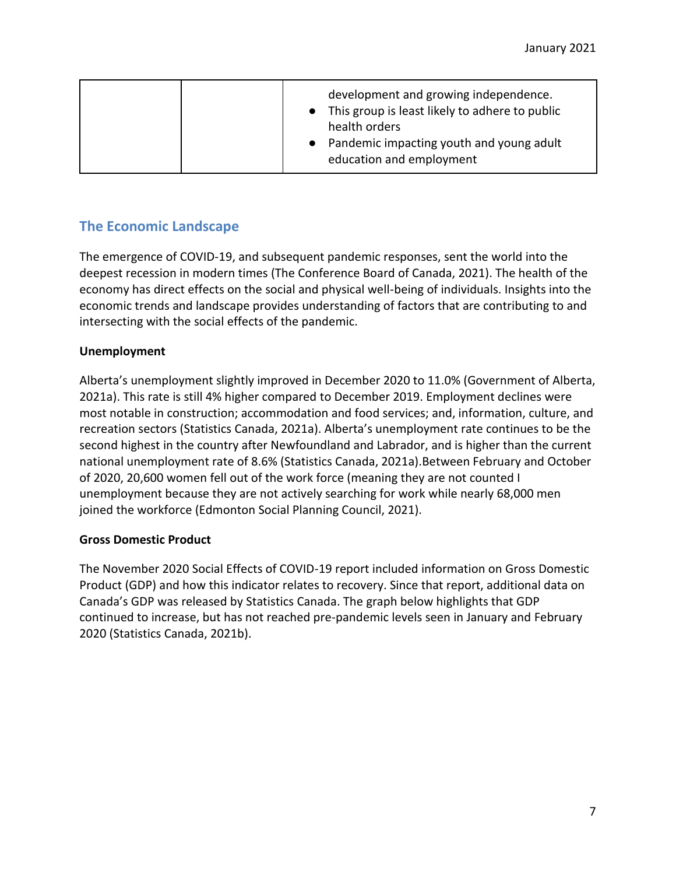|  | development and growing independence.<br>• This group is least likely to adhere to public<br>health orders<br>Pandemic impacting youth and young adult<br>education and employment |
|--|------------------------------------------------------------------------------------------------------------------------------------------------------------------------------------|
|--|------------------------------------------------------------------------------------------------------------------------------------------------------------------------------------|

# **The Economic Landscape**

The emergence of COVID-19, and subsequent pandemic responses, sent the world into the deepest recession in modern times (The Conference Board of Canada, 2021). The health of the economy has direct effects on the social and physical well-being of individuals. Insights into the economic trends and landscape provides understanding of factors that are contributing to and intersecting with the social effects of the pandemic.

#### **Unemployment**

Alberta's unemployment slightly improved in December 2020 to 11.0% (Government of Alberta, 2021a). This rate is still 4% higher compared to December 2019. Employment declines were most notable in construction; accommodation and food services; and, information, culture, and recreation sectors (Statistics Canada, 2021a). Alberta's unemployment rate continues to be the second highest in the country after Newfoundland and Labrador, and is higher than the current national unemployment rate of 8.6% (Statistics Canada, 2021a).Between February and October of 2020, 20,600 women fell out of the work force (meaning they are not counted I unemployment because they are not actively searching for work while nearly 68,000 men joined the workforce (Edmonton Social Planning Council, 2021).

#### **Gross Domestic Product**

The November 2020 Social Effects of COVID-19 report included information on Gross Domestic Product (GDP) and how this indicator relates to recovery. Since that report, additional data on Canada's GDP was released by Statistics Canada. The graph below highlights that GDP continued to increase, but has not reached pre-pandemic levels seen in January and February 2020 (Statistics Canada, 2021b).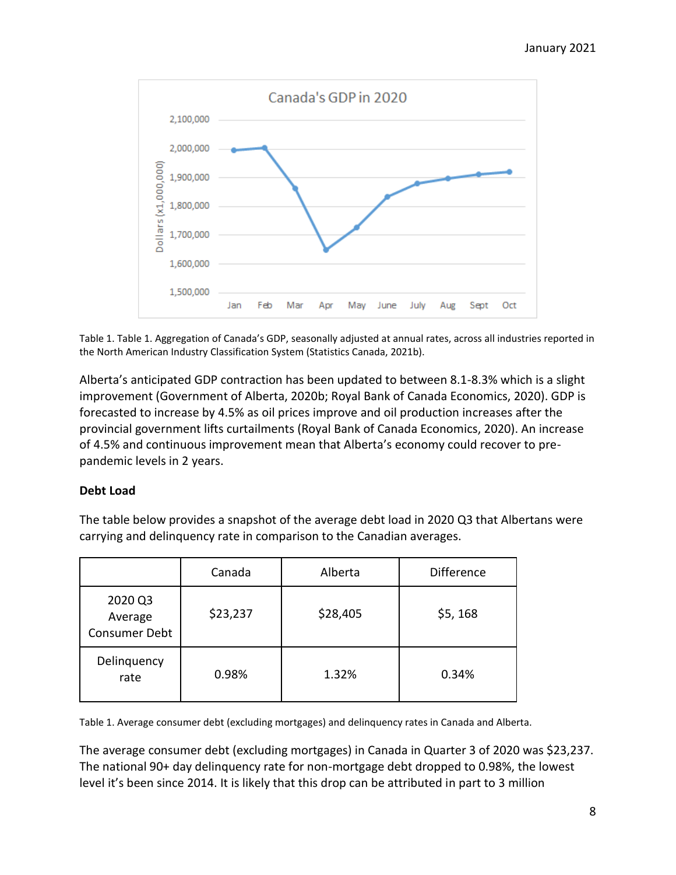

Table 1. Table 1. Aggregation of Canada's GDP, seasonally adjusted at annual rates, across all industries reported in the North American Industry Classification System (Statistics Canada, 2021b).

Alberta's anticipated GDP contraction has been updated to between 8.1-8.3% which is a slight improvement (Government of Alberta, 2020b; Royal Bank of Canada Economics, 2020). GDP is forecasted to increase by 4.5% as oil prices improve and oil production increases after the provincial government lifts curtailments (Royal Bank of Canada Economics, 2020). An increase of 4.5% and continuous improvement mean that Alberta's economy could recover to prepandemic levels in 2 years.

#### **Debt Load**

The table below provides a snapshot of the average debt load in 2020 Q3 that Albertans were carrying and delinquency rate in comparison to the Canadian averages.

|                                     | Canada   | Alberta  | <b>Difference</b> |
|-------------------------------------|----------|----------|-------------------|
| 2020 Q3<br>Average<br>Consumer Debt | \$23,237 | \$28,405 | \$5, 168          |
| Delinquency<br>rate                 | 0.98%    | 1.32%    | 0.34%             |

Table 1. Average consumer debt (excluding mortgages) and delinquency rates in Canada and Alberta.

The average consumer debt (excluding mortgages) in Canada in Quarter 3 of 2020 was \$23,237. The national 90+ day delinquency rate for non-mortgage debt dropped to 0.98%, the lowest level it's been since 2014. It is likely that this drop can be attributed in part to 3 million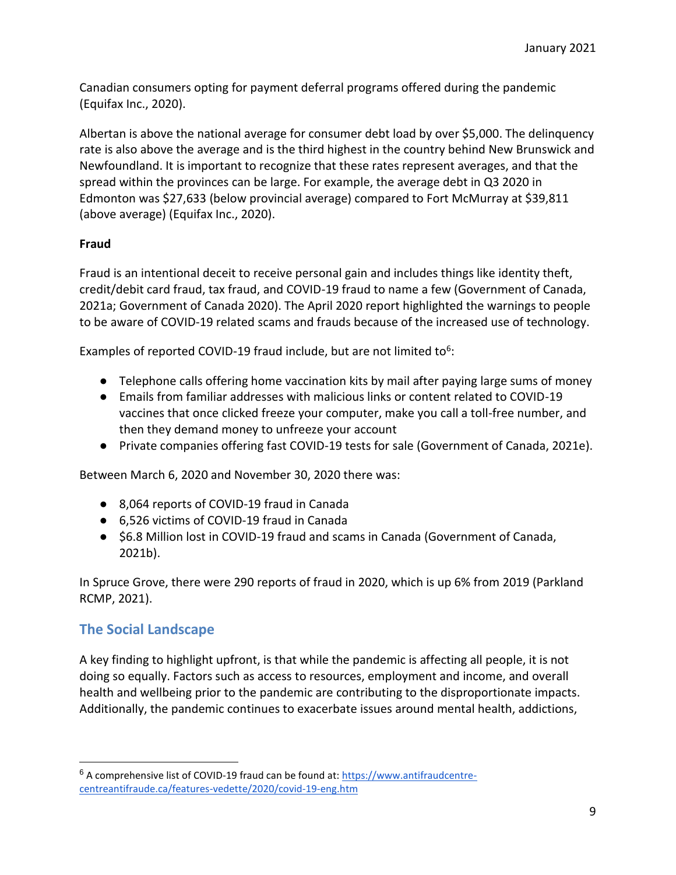Canadian consumers opting for payment deferral programs offered during the pandemic (Equifax Inc., 2020).

Albertan is above the national average for consumer debt load by over \$5,000. The delinquency rate is also above the average and is the third highest in the country behind New Brunswick and Newfoundland. It is important to recognize that these rates represent averages, and that the spread within the provinces can be large. For example, the average debt in Q3 2020 in Edmonton was \$27,633 (below provincial average) compared to Fort McMurray at \$39,811 (above average) (Equifax Inc., 2020).

#### **Fraud**

Fraud is an intentional deceit to receive personal gain and includes things like identity theft, credit/debit card fraud, tax fraud, and COVID-19 fraud to name a few (Government of Canada, 2021a; Government of Canada 2020). The April 2020 report highlighted the warnings to people to be aware of COVID-19 related scams and frauds because of the increased use of technology.

Examples of reported COVID-19 fraud include, but are not limited to<sup>6</sup>:

- Telephone calls offering home vaccination kits by mail after paying large sums of money
- Emails from familiar addresses with malicious links or content related to COVID-19 vaccines that once clicked freeze your computer, make you call a toll-free number, and then they demand money to unfreeze your account
- Private companies offering fast COVID-19 tests for sale (Government of Canada, 2021e).

Between March 6, 2020 and November 30, 2020 there was:

- 8,064 reports of COVID-19 fraud in Canada
- 6,526 victims of COVID-19 fraud in Canada
- \$6.8 Million lost in COVID-19 fraud and scams in Canada (Government of Canada, 2021b).

In Spruce Grove, there were 290 reports of fraud in 2020, which is up 6% from 2019 (Parkland RCMP, 2021).

# **The Social Landscape**

 $\overline{a}$ 

A key finding to highlight upfront, is that while the pandemic is affecting all people, it is not doing so equally. Factors such as access to resources, employment and income, and overall health and wellbeing prior to the pandemic are contributing to the disproportionate impacts. Additionally, the pandemic continues to exacerbate issues around mental health, addictions,

<sup>6</sup> A comprehensive list of COVID-19 fraud can be found at: [https://www.antifraudcentre](https://www.antifraudcentre-centreantifraude.ca/features-vedette/2020/covid-19-eng.htm)[centreantifraude.ca/features-vedette/2020/covid-19-eng.htm](https://www.antifraudcentre-centreantifraude.ca/features-vedette/2020/covid-19-eng.htm)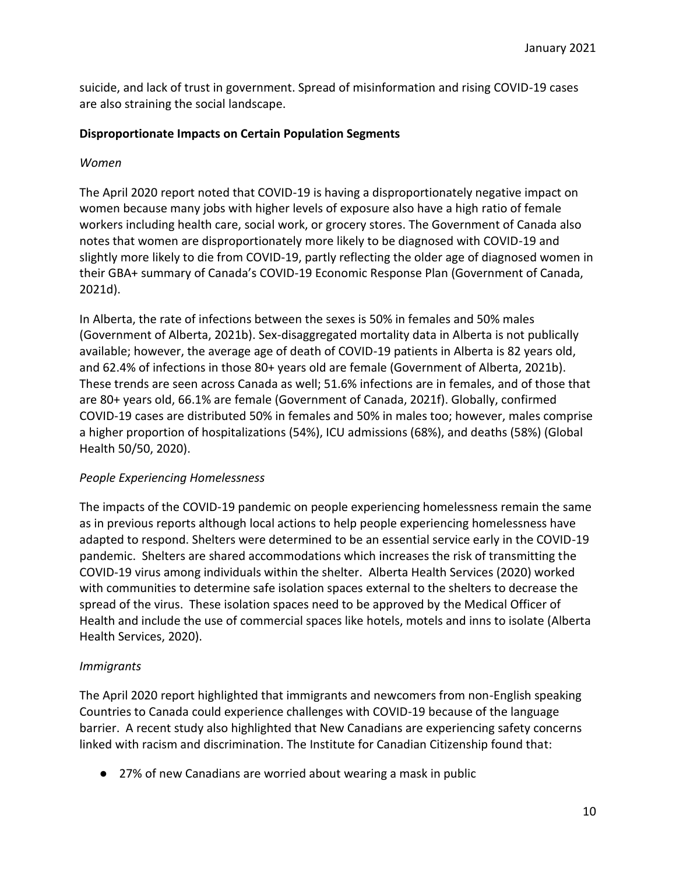suicide, and lack of trust in government. Spread of misinformation and rising COVID-19 cases are also straining the social landscape.

#### **Disproportionate Impacts on Certain Population Segments**

#### *Women*

The April 2020 report noted that COVID-19 is having a disproportionately negative impact on women because many jobs with higher levels of exposure also have a high ratio of female workers including health care, social work, or grocery stores. The Government of Canada also notes that women are disproportionately more likely to be diagnosed with COVID-19 and slightly more likely to die from COVID-19, partly reflecting the older age of diagnosed women in their GBA+ summary of Canada's COVID-19 Economic Response Plan (Government of Canada, 2021d).

In Alberta, the rate of infections between the sexes is 50% in females and 50% males (Government of Alberta, 2021b). Sex-disaggregated mortality data in Alberta is not publically available; however, the average age of death of COVID-19 patients in Alberta is 82 years old, and 62.4% of infections in those 80+ years old are female (Government of Alberta, 2021b). These trends are seen across Canada as well; 51.6% infections are in females, and of those that are 80+ years old, 66.1% are female (Government of Canada, 2021f). Globally, confirmed COVID-19 cases are distributed 50% in females and 50% in males too; however, males comprise a higher proportion of hospitalizations (54%), ICU admissions (68%), and deaths (58%) (Global Health 50/50, 2020).

#### *People Experiencing Homelessness*

The impacts of the COVID-19 pandemic on people experiencing homelessness remain the same as in previous reports although local actions to help people experiencing homelessness have adapted to respond. Shelters were determined to be an essential service early in the COVID-19 pandemic. Shelters are shared accommodations which increases the risk of transmitting the COVID-19 virus among individuals within the shelter. Alberta Health Services (2020) worked with communities to determine safe isolation spaces external to the shelters to decrease the spread of the virus. These isolation spaces need to be approved by the Medical Officer of Health and include the use of commercial spaces like hotels, motels and inns to isolate (Alberta Health Services, 2020).

## *Immigrants*

The April 2020 report highlighted that immigrants and newcomers from non-English speaking Countries to Canada could experience challenges with COVID-19 because of the language barrier. A recent study also highlighted that New Canadians are experiencing safety concerns linked with racism and discrimination. The Institute for Canadian Citizenship found that:

● 27% of new Canadians are worried about wearing a mask in public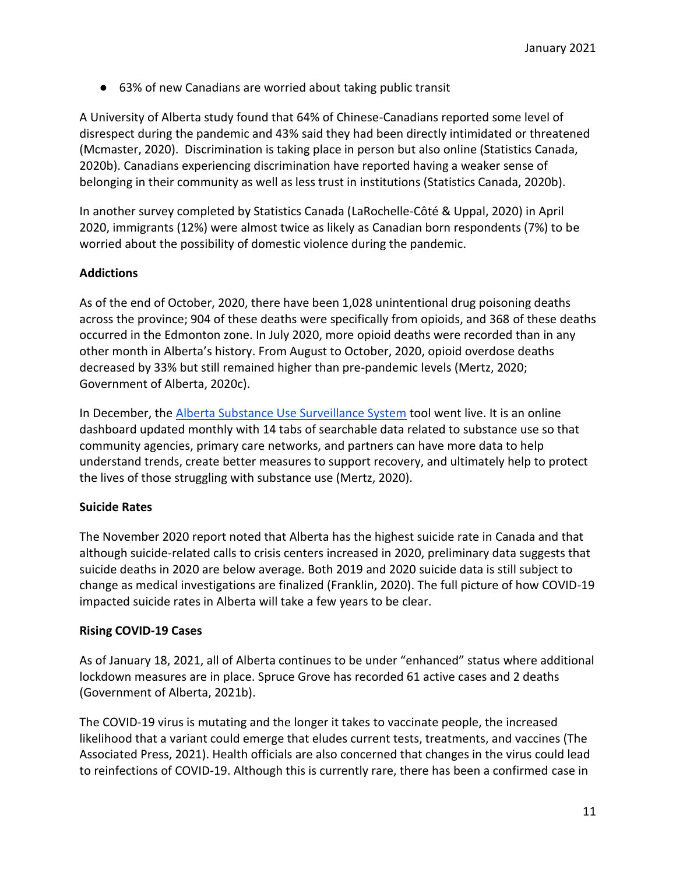● 63% of new Canadians are worried about taking public transit

A University of Alberta study found that 64% of Chinese-Canadians reported some level of disrespect during the pandemic and 43% said they had been directly intimidated or threatened (Mcmaster, 2020). Discrimination is taking place in person but also online (Statistics Canada, 2020b). Canadians experiencing discrimination have reported having a weaker sense of belonging in their community as well as less trust in institutions (Statistics Canada, 2020b).

In another survey completed by Statistics Canada (LaRochelle-Côté & Uppal, 2020) in April 2020, immigrants (12%) were almost twice as likely as Canadian born respondents (7%) to be worried about the possibility of domestic violence during the pandemic.

#### **Addictions**

As of the end of October, 2020, there have been 1,028 unintentional drug poisoning deaths across the province; 904 of these deaths were specifically from opioids, and 368 of these deaths occurred in the Edmonton zone. In July 2020, more opioid deaths were recorded than in any other month in Alberta's history. From August to October, 2020, opioid overdose deaths decreased by 33% but still remained higher than pre-pandemic levels (Mertz, 2020; Government of Alberta, 2020c).

In December, the [Alberta Substance Use Surveillance System](https://healthanalytics.alberta.ca/SASVisualAnalytics/?reportUri=%2Freports%2Freports%2F1bbb695d-14b1-4346-b66e-d401a40f53e6§ionIndex=0&sso_guest=true&reportViewOnly=true&reportContextBar=false&sas-welcome=false) tool went live. It is an online dashboard updated monthly with 14 tabs of searchable data related to substance use so that community agencies, primary care networks, and partners can have more data to help understand trends, create better measures to support recovery, and ultimately help to protect the lives of those struggling with substance use (Mertz, 2020).

#### **Suicide Rates**

The November 2020 report noted that Alberta has the highest suicide rate in Canada and that although suicide-related calls to crisis centers increased in 2020, preliminary data suggests that suicide deaths in 2020 are below average. Both 2019 and 2020 suicide data is still subject to change as medical investigations are finalized (Franklin, 2020). The full picture of how COVID-19 impacted suicide rates in Alberta will take a few years to be clear.

#### **Rising COVID-19 Cases**

As of January 18, 2021, all of Alberta continues to be under "enhanced" status where additional lockdown measures are in place. Spruce Grove has recorded 61 active cases and 2 deaths (Government of Alberta, 2021b).

The COVID-19 virus is mutating and the longer it takes to vaccinate people, the increased likelihood that a variant could emerge that eludes current tests, treatments, and vaccines (The Associated Press, 2021). Health officials are also concerned that changes in the virus could lead to reinfections of COVID-19. Although this is currently rare, there has been a confirmed case in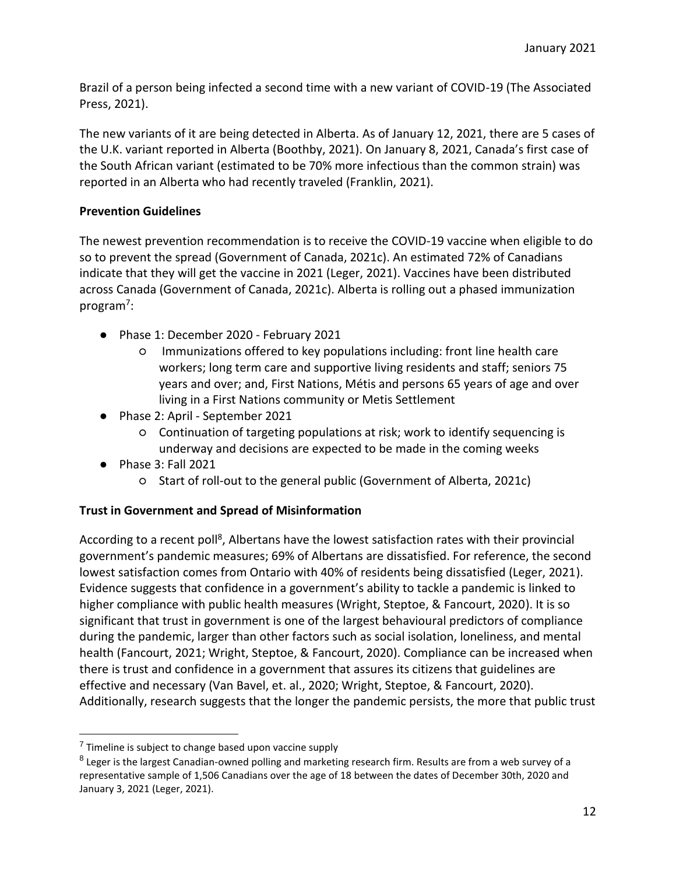Brazil of a person being infected a second time with a new variant of COVID-19 (The Associated Press, 2021).

The new variants of it are being detected in Alberta. As of January 12, 2021, there are 5 cases of the U.K. variant reported in Alberta (Boothby, 2021). On January 8, 2021, Canada's first case of the South African variant (estimated to be 70% more infectious than the common strain) was reported in an Alberta who had recently traveled (Franklin, 2021).

#### **Prevention Guidelines**

The newest prevention recommendation is to receive the COVID-19 vaccine when eligible to do so to prevent the spread (Government of Canada, 2021c). An estimated 72% of Canadians indicate that they will get the vaccine in 2021 (Leger, 2021). Vaccines have been distributed across Canada (Government of Canada, 2021c). Alberta is rolling out a phased immunization program<sup>7</sup>:

- Phase 1: December 2020 February 2021
	- Immunizations offered to key populations including: front line health care workers; long term care and supportive living residents and staff; seniors 75 years and over; and, First Nations, Métis and persons 65 years of age and over living in a First Nations community or Metis Settlement
- Phase 2: April September 2021
	- Continuation of targeting populations at risk; work to identify sequencing is underway and decisions are expected to be made in the coming weeks
- Phase 3: Fall 2021
	- Start of roll-out to the general public (Government of Alberta, 2021c)

## **Trust in Government and Spread of Misinformation**

According to a recent poll<sup>8</sup>, Albertans have the lowest satisfaction rates with their provincial government's pandemic measures; 69% of Albertans are dissatisfied. For reference, the second lowest satisfaction comes from Ontario with 40% of residents being dissatisfied (Leger, 2021). Evidence suggests that confidence in a government's ability to tackle a pandemic is linked to higher compliance with public health measures (Wright, Steptoe, & Fancourt, 2020). It is so significant that trust in government is one of the largest behavioural predictors of compliance during the pandemic, larger than other factors such as social isolation, loneliness, and mental health (Fancourt, 2021; Wright, Steptoe, & Fancourt, 2020). Compliance can be increased when there is trust and confidence in a government that assures its citizens that guidelines are effective and necessary (Van Bavel, et. al., 2020; Wright, Steptoe, & Fancourt, 2020). Additionally, research suggests that the longer the pandemic persists, the more that public trust

<sup>&</sup>lt;sup>7</sup> Timeline is subject to change based upon vaccine supply

<sup>&</sup>lt;sup>8</sup> Leger is the largest Canadian-owned polling and marketing research firm. Results are from a web survey of a representative sample of 1,506 Canadians over the age of 18 between the dates of December 30th, 2020 and January 3, 2021 (Leger, 2021).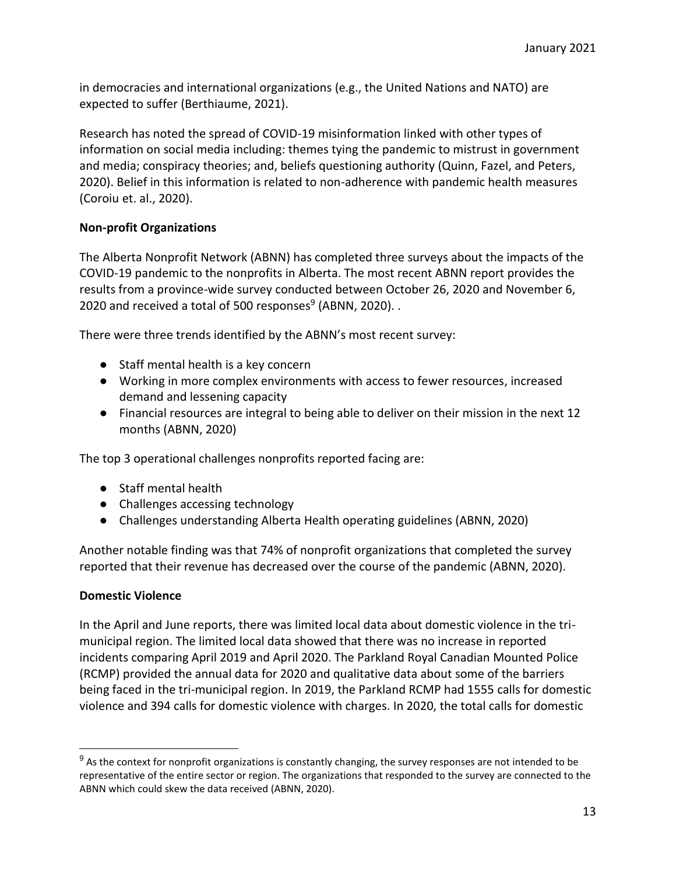in democracies and international organizations (e.g., the United Nations and NATO) are expected to suffer (Berthiaume, 2021).

Research has noted the spread of COVID-19 misinformation linked with other types of information on social media including: themes tying the pandemic to mistrust in government and media; conspiracy theories; and, beliefs questioning authority (Quinn, Fazel, and Peters, 2020). Belief in this information is related to non-adherence with pandemic health measures (Coroiu et. al., 2020).

#### **Non-profit Organizations**

The Alberta Nonprofit Network (ABNN) has completed three surveys about the impacts of the COVID-19 pandemic to the nonprofits in Alberta. The most recent ABNN report provides the results from a province-wide survey conducted between October 26, 2020 and November 6, 2020 and received a total of 500 responses<sup>9</sup> (ABNN, 2020)...

There were three trends identified by the ABNN's most recent survey:

- Staff mental health is a key concern
- Working in more complex environments with access to fewer resources, increased demand and lessening capacity
- Financial resources are integral to being able to deliver on their mission in the next 12 months (ABNN, 2020)

The top 3 operational challenges nonprofits reported facing are:

- Staff mental health
- Challenges accessing technology
- Challenges understanding Alberta Health operating guidelines (ABNN, 2020)

Another notable finding was that 74% of nonprofit organizations that completed the survey reported that their revenue has decreased over the course of the pandemic (ABNN, 2020).

#### **Domestic Violence**

In the April and June reports, there was limited local data about domestic violence in the trimunicipal region. The limited local data showed that there was no increase in reported incidents comparing April 2019 and April 2020. The Parkland Royal Canadian Mounted Police (RCMP) provided the annual data for 2020 and qualitative data about some of the barriers being faced in the tri-municipal region. In 2019, the Parkland RCMP had 1555 calls for domestic violence and 394 calls for domestic violence with charges. In 2020, the total calls for domestic

 $9$  As the context for nonprofit organizations is constantly changing, the survey responses are not intended to be representative of the entire sector or region. The organizations that responded to the survey are connected to the ABNN which could skew the data received (ABNN, 2020).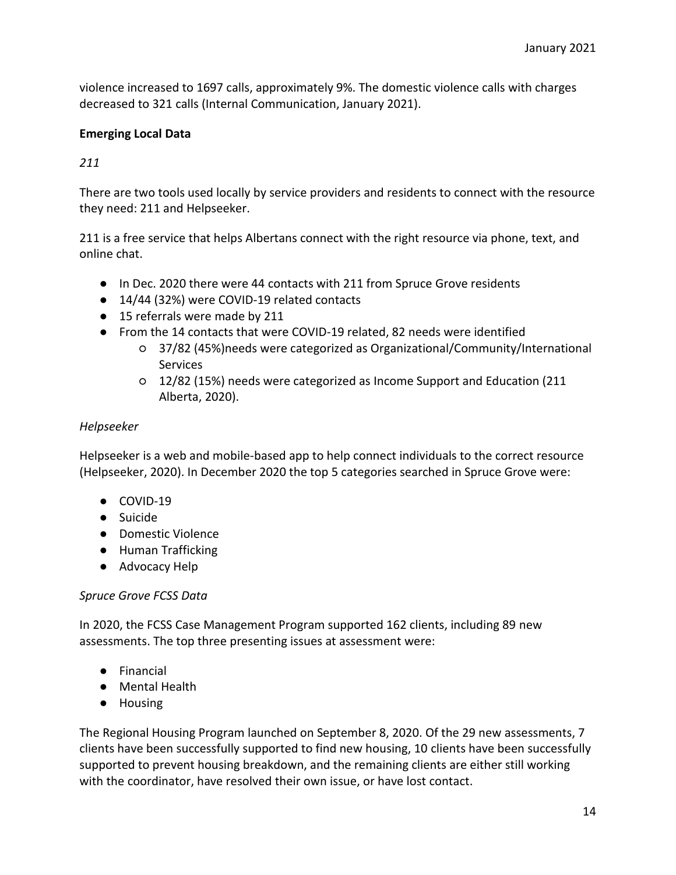violence increased to 1697 calls, approximately 9%. The domestic violence calls with charges decreased to 321 calls (Internal Communication, January 2021).

#### **Emerging Local Data**

#### *211*

There are two tools used locally by service providers and residents to connect with the resource they need: 211 and Helpseeker.

211 is a free service that helps Albertans connect with the right resource via phone, text, and online chat.

- In Dec. 2020 there were 44 contacts with 211 from Spruce Grove residents
- 14/44 (32%) were COVID-19 related contacts
- 15 referrals were made by 211
- From the 14 contacts that were COVID-19 related, 82 needs were identified
	- 37/82 (45%)needs were categorized as Organizational/Community/International **Services**
	- 12/82 (15%) needs were categorized as Income Support and Education (211 Alberta, 2020).

#### *Helpseeker*

Helpseeker is a web and mobile-based app to help connect individuals to the correct resource (Helpseeker, 2020). In December 2020 the top 5 categories searched in Spruce Grove were:

- COVID-19
- Suicide
- Domestic Violence
- Human Trafficking
- Advocacy Help

#### *Spruce Grove FCSS Data*

In 2020, the FCSS Case Management Program supported 162 clients, including 89 new assessments. The top three presenting issues at assessment were:

- Financial
- Mental Health
- Housing

The Regional Housing Program launched on September 8, 2020. Of the 29 new assessments, 7 clients have been successfully supported to find new housing, 10 clients have been successfully supported to prevent housing breakdown, and the remaining clients are either still working with the coordinator, have resolved their own issue, or have lost contact.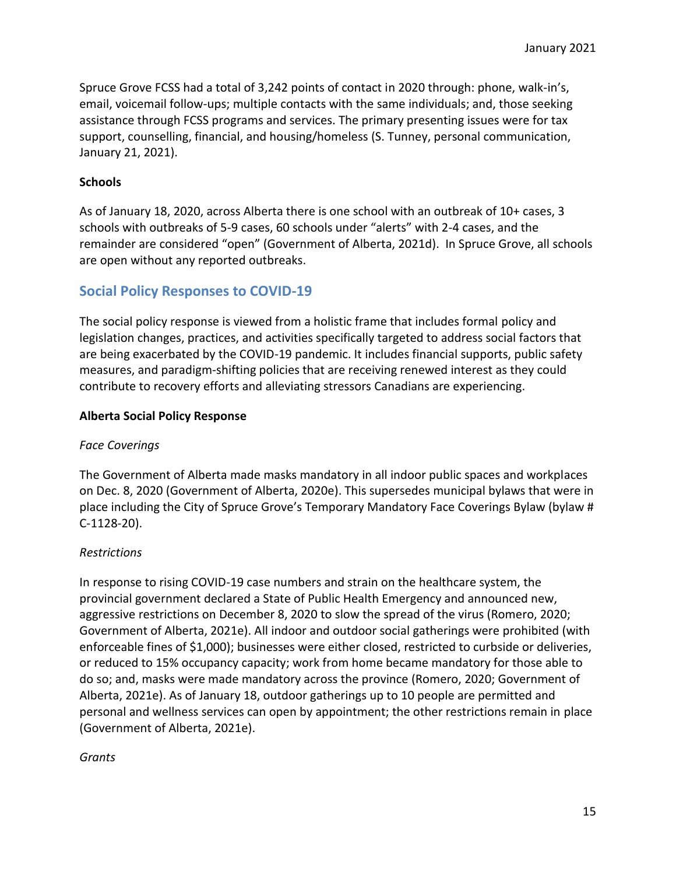Spruce Grove FCSS had a total of 3,242 points of contact in 2020 through: phone, walk-in's, email, voicemail follow-ups; multiple contacts with the same individuals; and, those seeking assistance through FCSS programs and services. The primary presenting issues were for tax support, counselling, financial, and housing/homeless (S. Tunney, personal communication, January 21, 2021).

#### **Schools**

As of January 18, 2020, across Alberta there is one school with an outbreak of 10+ cases, 3 schools with outbreaks of 5-9 cases, 60 schools under "alerts" with 2-4 cases, and the remainder are considered "open" (Government of Alberta, 2021d). In Spruce Grove, all schools are open without any reported outbreaks.

# **Social Policy Responses to COVID-19**

The social policy response is viewed from a holistic frame that includes formal policy and legislation changes, practices, and activities specifically targeted to address social factors that are being exacerbated by the COVID-19 pandemic. It includes financial supports, public safety measures, and paradigm-shifting policies that are receiving renewed interest as they could contribute to recovery efforts and alleviating stressors Canadians are experiencing.

#### **Alberta Social Policy Response**

#### *Face Coverings*

The Government of Alberta made masks mandatory in all indoor public spaces and workplaces on Dec. 8, 2020 (Government of Alberta, 2020e). This supersedes municipal bylaws that were in place including the City of Spruce Grove's Temporary Mandatory Face Coverings Bylaw (bylaw # C-1128-20).

#### *Restrictions*

In response to rising COVID-19 case numbers and strain on the healthcare system, the provincial government declared a State of Public Health Emergency and announced new, aggressive restrictions on December 8, 2020 to slow the spread of the virus (Romero, 2020; Government of Alberta, 2021e). All indoor and outdoor social gatherings were prohibited (with enforceable fines of \$1,000); businesses were either closed, restricted to curbside or deliveries, or reduced to 15% occupancy capacity; work from home became mandatory for those able to do so; and, masks were made mandatory across the province (Romero, 2020; Government of Alberta, 2021e). As of January 18, outdoor gatherings up to 10 people are permitted and personal and wellness services can open by appointment; the other restrictions remain in place (Government of Alberta, 2021e).

#### *Grants*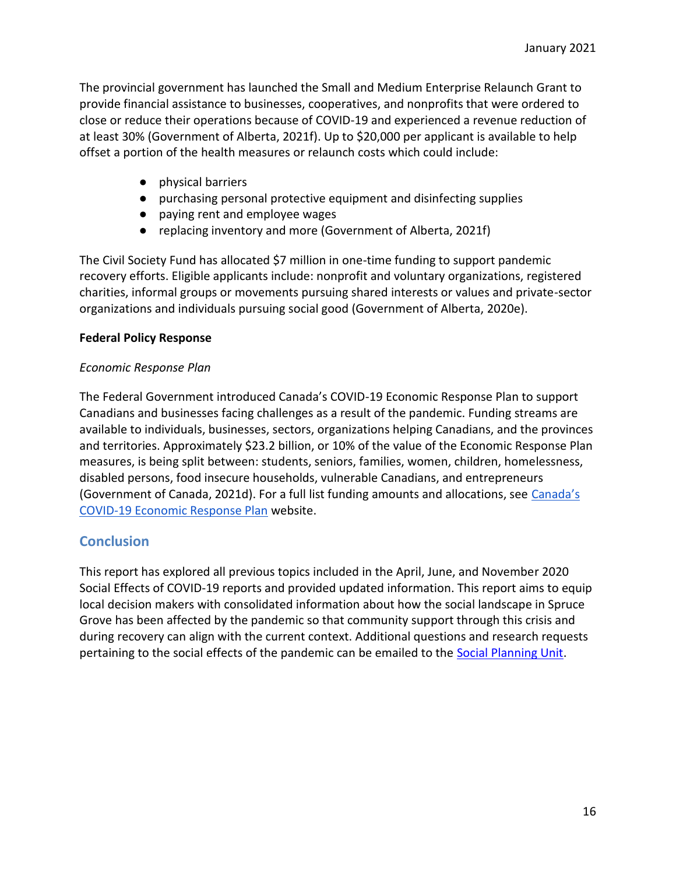The provincial government has launched the Small and Medium Enterprise Relaunch Grant to provide financial assistance to businesses, cooperatives, and nonprofits that were ordered to close or reduce their operations because of COVID-19 and experienced a revenue reduction of at least 30% (Government of Alberta, 2021f). Up to \$20,000 per applicant is available to help offset a portion of the health measures or relaunch costs which could include:

- physical barriers
- purchasing personal protective equipment and disinfecting supplies
- paying rent and employee wages
- replacing inventory and more (Government of Alberta, 2021f)

The Civil Society Fund has allocated \$7 million in one-time funding to support pandemic recovery efforts. Eligible applicants include: nonprofit and voluntary organizations, registered charities, informal groups or movements pursuing shared interests or values and private-sector organizations and individuals pursuing social good (Government of Alberta, 2020e).

#### **Federal Policy Response**

#### *Economic Response Plan*

The Federal Government introduced Canada's COVID-19 Economic Response Plan to support Canadians and businesses facing challenges as a result of the pandemic. Funding streams are available to individuals, businesses, sectors, organizations helping Canadians, and the provinces and territories. Approximately \$23.2 billion, or 10% of the value of the Economic Response Plan measures, is being split between: students, seniors, families, women, children, homelessness, disabled persons, food insecure households, vulnerable Canadians, and entrepreneurs (Government of Canada, 2021d). For a full list funding amounts and allocations, see [Canada's](https://www.canada.ca/en/department-finance/economic-response-plan.html#shr-pg-pnlShrPg)  [COVID-19 Economic Response Plan](https://www.canada.ca/en/department-finance/economic-response-plan.html#shr-pg-pnlShrPg) website.

# **Conclusion**

This report has explored all previous topics included in the April, June, and November 2020 Social Effects of COVID-19 reports and provided updated information. This report aims to equip local decision makers with consolidated information about how the social landscape in Spruce Grove has been affected by the pandemic so that community support through this crisis and during recovery can align with the current context. Additional questions and research requests pertaining to the social effects of the pandemic can be emailed to the Social Planning Unit.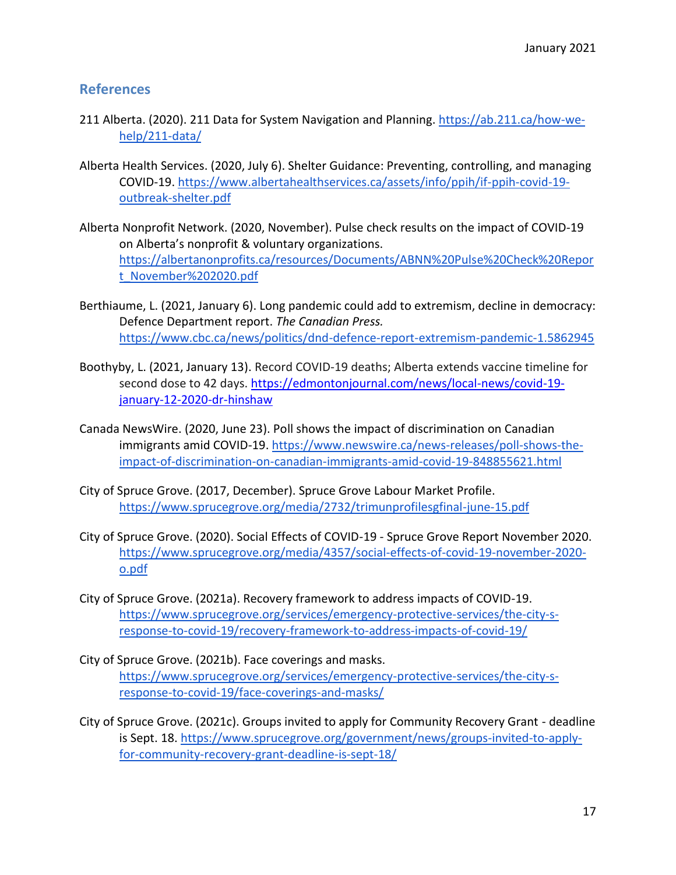### **References**

- 211 Alberta. (2020). 211 Data for System Navigation and Planning. [https://ab.211.ca/how-we](https://ab.211.ca/how-we-help/211-data/)[help/211-data/](https://ab.211.ca/how-we-help/211-data/)
- Alberta Health Services. (2020, July 6). Shelter Guidance: Preventing, controlling, and managing COVID-19. [https://www.albertahealthservices.ca/assets/info/ppih/if-ppih-covid-19](https://www.albertahealthservices.ca/assets/info/ppih/if-ppih-covid-19-outbreak-shelter.pdf) [outbreak-shelter.pdf](https://www.albertahealthservices.ca/assets/info/ppih/if-ppih-covid-19-outbreak-shelter.pdf)
- Alberta Nonprofit Network. (2020, November). Pulse check results on the impact of COVID-19 on Alberta's nonprofit & voluntary organizations. [https://albertanonprofits.ca/resources/Documents/ABNN%20Pulse%20Check%20Repor](https://albertanonprofits.ca/resources/Documents/ABNN%20Pulse%20Check%20Report_November%202020.pdf) [t\\_November%202020.pdf](https://albertanonprofits.ca/resources/Documents/ABNN%20Pulse%20Check%20Report_November%202020.pdf)
- Berthiaume, L. (2021, January 6). Long pandemic could add to extremism, decline in democracy: Defence Department report. *The Canadian Press.*  <https://www.cbc.ca/news/politics/dnd-defence-report-extremism-pandemic-1.5862945>
- Boothyby, L. (2021, January 13). Record COVID-19 deaths; Alberta extends vaccine timeline for second dose to 42 days. [https://edmontonjournal.com/news/local-news/covid-19](https://edmontonjournal.com/news/local-news/covid-19-january-12-2020-dr-hinshaw) [january-12-2020-dr-hinshaw](https://edmontonjournal.com/news/local-news/covid-19-january-12-2020-dr-hinshaw)
- Canada NewsWire. (2020, June 23). Poll shows the impact of discrimination on Canadian immigrants amid COVID-19. [https://www.newswire.ca/news-releases/poll-shows-the](https://www.newswire.ca/news-releases/poll-shows-the-impact-of-discrimination-on-canadian-immigrants-amid-covid-19-848855621.html)[impact-of-discrimination-on-canadian-immigrants-amid-covid-19-848855621.html](https://www.newswire.ca/news-releases/poll-shows-the-impact-of-discrimination-on-canadian-immigrants-amid-covid-19-848855621.html)
- City of Spruce Grove. (2017, December). Spruce Grove Labour Market Profile. <https://www.sprucegrove.org/media/2732/trimunprofilesgfinal-june-15.pdf>
- City of Spruce Grove. (2020). Social Effects of COVID-19 Spruce Grove Report November 2020. [https://www.sprucegrove.org/media/4357/social-effects-of-covid-19-november-2020](https://www.sprucegrove.org/media/4357/social-effects-of-covid-19-november-2020-o.pdf) [o.pdf](https://www.sprucegrove.org/media/4357/social-effects-of-covid-19-november-2020-o.pdf)
- City of Spruce Grove. (2021a). Recovery framework to address impacts of COVID-19. [https://www.sprucegrove.org/services/emergency-protective-services/the-city-s](https://www.sprucegrove.org/services/emergency-protective-services/the-city-s-response-to-covid-19/recovery-framework-to-address-impacts-of-covid-19/)[response-to-covid-19/recovery-framework-to-address-impacts-of-covid-19/](https://www.sprucegrove.org/services/emergency-protective-services/the-city-s-response-to-covid-19/recovery-framework-to-address-impacts-of-covid-19/)
- City of Spruce Grove. (2021b). Face coverings and masks. [https://www.sprucegrove.org/services/emergency-protective-services/the-city-s](https://www.sprucegrove.org/services/emergency-protective-services/the-city-s-response-to-covid-19/face-coverings-and-masks/)[response-to-covid-19/face-coverings-and-masks/](https://www.sprucegrove.org/services/emergency-protective-services/the-city-s-response-to-covid-19/face-coverings-and-masks/)
- City of Spruce Grove. (2021c). Groups invited to apply for Community Recovery Grant deadline is Sept. 18. [https://www.sprucegrove.org/government/news/groups-invited-to-apply](https://www.sprucegrove.org/government/news/groups-invited-to-apply-for-community-recovery-grant-deadline-is-sept-18/)[for-community-recovery-grant-deadline-is-sept-18/](https://www.sprucegrove.org/government/news/groups-invited-to-apply-for-community-recovery-grant-deadline-is-sept-18/)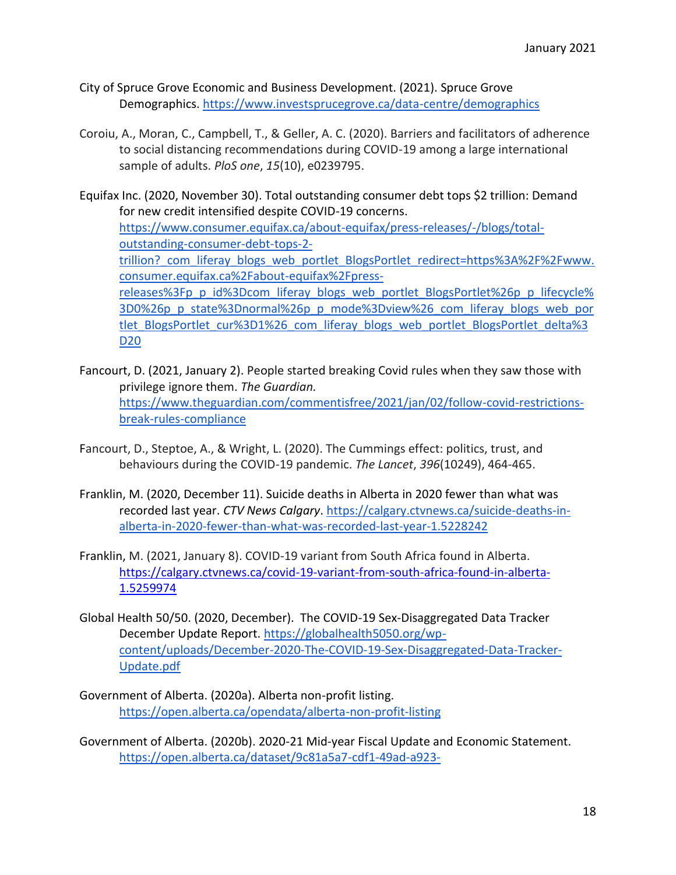- City of Spruce Grove Economic and Business Development. (2021). Spruce Grove Demographics[. https://www.investsprucegrove.ca/data-centre/demographics](https://www.investsprucegrove.ca/data-centre/demographics)
- Coroiu, A., Moran, C., Campbell, T., & Geller, A. C. (2020). Barriers and facilitators of adherence to social distancing recommendations during COVID-19 among a large international sample of adults. *PloS one*, *15*(10), e0239795.

Equifax Inc. (2020, November 30). Total outstanding consumer debt tops \$2 trillion: Demand for new credit intensified despite COVID-19 concerns. [https://www.consumer.equifax.ca/about-equifax/press-releases/-/blogs/total](https://www.consumer.equifax.ca/about-equifax/press-releases/-/blogs/total-outstanding-consumer-debt-tops-2-trillion?_com_liferay_blogs_web_portlet_BlogsPortlet_redirect=https%3A%2F%2Fwww.consumer.equifax.ca%2Fabout-equifax%2Fpress-releases%3Fp_p_id%3Dcom_liferay_blogs_web_portlet_BlogsPortlet%26p_p_lifecycle%3D0%26p_p_state%3Dnormal%26p_p_mode%3Dview%26_com_liferay_blogs_web_portlet_BlogsPortlet_cur%3D1%26_com_liferay_blogs_web_portlet_BlogsPortlet_delta%3D20)[outstanding-consumer-debt-tops-2](https://www.consumer.equifax.ca/about-equifax/press-releases/-/blogs/total-outstanding-consumer-debt-tops-2-trillion?_com_liferay_blogs_web_portlet_BlogsPortlet_redirect=https%3A%2F%2Fwww.consumer.equifax.ca%2Fabout-equifax%2Fpress-releases%3Fp_p_id%3Dcom_liferay_blogs_web_portlet_BlogsPortlet%26p_p_lifecycle%3D0%26p_p_state%3Dnormal%26p_p_mode%3Dview%26_com_liferay_blogs_web_portlet_BlogsPortlet_cur%3D1%26_com_liferay_blogs_web_portlet_BlogsPortlet_delta%3D20) trillion? com\_liferay\_blogs\_web\_portlet\_BlogsPortlet\_redirect=https%3A%2F%2Fwww. [consumer.equifax.ca%2Fabout-equifax%2Fpress](https://www.consumer.equifax.ca/about-equifax/press-releases/-/blogs/total-outstanding-consumer-debt-tops-2-trillion?_com_liferay_blogs_web_portlet_BlogsPortlet_redirect=https%3A%2F%2Fwww.consumer.equifax.ca%2Fabout-equifax%2Fpress-releases%3Fp_p_id%3Dcom_liferay_blogs_web_portlet_BlogsPortlet%26p_p_lifecycle%3D0%26p_p_state%3Dnormal%26p_p_mode%3Dview%26_com_liferay_blogs_web_portlet_BlogsPortlet_cur%3D1%26_com_liferay_blogs_web_portlet_BlogsPortlet_delta%3D20)[releases%3Fp\\_p\\_id%3Dcom\\_liferay\\_blogs\\_web\\_portlet\\_BlogsPortlet%26p\\_p\\_lifecycle%](https://www.consumer.equifax.ca/about-equifax/press-releases/-/blogs/total-outstanding-consumer-debt-tops-2-trillion?_com_liferay_blogs_web_portlet_BlogsPortlet_redirect=https%3A%2F%2Fwww.consumer.equifax.ca%2Fabout-equifax%2Fpress-releases%3Fp_p_id%3Dcom_liferay_blogs_web_portlet_BlogsPortlet%26p_p_lifecycle%3D0%26p_p_state%3Dnormal%26p_p_mode%3Dview%26_com_liferay_blogs_web_portlet_BlogsPortlet_cur%3D1%26_com_liferay_blogs_web_portlet_BlogsPortlet_delta%3D20) [3D0%26p\\_p\\_state%3Dnormal%26p\\_p\\_mode%3Dview%26\\_com\\_liferay\\_blogs\\_web\\_por](https://www.consumer.equifax.ca/about-equifax/press-releases/-/blogs/total-outstanding-consumer-debt-tops-2-trillion?_com_liferay_blogs_web_portlet_BlogsPortlet_redirect=https%3A%2F%2Fwww.consumer.equifax.ca%2Fabout-equifax%2Fpress-releases%3Fp_p_id%3Dcom_liferay_blogs_web_portlet_BlogsPortlet%26p_p_lifecycle%3D0%26p_p_state%3Dnormal%26p_p_mode%3Dview%26_com_liferay_blogs_web_portlet_BlogsPortlet_cur%3D1%26_com_liferay_blogs_web_portlet_BlogsPortlet_delta%3D20) [tlet\\_BlogsPortlet\\_cur%3D1%26\\_com\\_liferay\\_blogs\\_web\\_portlet\\_BlogsPortlet\\_delta%3](https://www.consumer.equifax.ca/about-equifax/press-releases/-/blogs/total-outstanding-consumer-debt-tops-2-trillion?_com_liferay_blogs_web_portlet_BlogsPortlet_redirect=https%3A%2F%2Fwww.consumer.equifax.ca%2Fabout-equifax%2Fpress-releases%3Fp_p_id%3Dcom_liferay_blogs_web_portlet_BlogsPortlet%26p_p_lifecycle%3D0%26p_p_state%3Dnormal%26p_p_mode%3Dview%26_com_liferay_blogs_web_portlet_BlogsPortlet_cur%3D1%26_com_liferay_blogs_web_portlet_BlogsPortlet_delta%3D20) [D20](https://www.consumer.equifax.ca/about-equifax/press-releases/-/blogs/total-outstanding-consumer-debt-tops-2-trillion?_com_liferay_blogs_web_portlet_BlogsPortlet_redirect=https%3A%2F%2Fwww.consumer.equifax.ca%2Fabout-equifax%2Fpress-releases%3Fp_p_id%3Dcom_liferay_blogs_web_portlet_BlogsPortlet%26p_p_lifecycle%3D0%26p_p_state%3Dnormal%26p_p_mode%3Dview%26_com_liferay_blogs_web_portlet_BlogsPortlet_cur%3D1%26_com_liferay_blogs_web_portlet_BlogsPortlet_delta%3D20)

- Fancourt, D. (2021, January 2). People started breaking Covid rules when they saw those with privilege ignore them. *The Guardian.*  [https://www.theguardian.com/commentisfree/2021/jan/02/follow-covid-restrictions](https://www.theguardian.com/commentisfree/2021/jan/02/follow-covid-restrictions-break-rules-compliance)[break-rules-compliance](https://www.theguardian.com/commentisfree/2021/jan/02/follow-covid-restrictions-break-rules-compliance)
- Fancourt, D., Steptoe, A., & Wright, L. (2020). The Cummings effect: politics, trust, and behaviours during the COVID-19 pandemic. *The Lancet*, *396*(10249), 464-465.
- Franklin, M. (2020, December 11). Suicide deaths in Alberta in 2020 fewer than what was recorded last year. *CTV News Calgary*. [https://calgary.ctvnews.ca/suicide-deaths-in](https://calgary.ctvnews.ca/suicide-deaths-in-alberta-in-2020-fewer-than-what-was-recorded-last-year-1.5228242)[alberta-in-2020-fewer-than-what-was-recorded-last-year-1.5228242](https://calgary.ctvnews.ca/suicide-deaths-in-alberta-in-2020-fewer-than-what-was-recorded-last-year-1.5228242)
- Franklin, M. (2021, January 8). COVID-19 variant from South Africa found in Alberta. [https://calgary.ctvnews.ca/covid-19-variant-from-south-africa-found-in-alberta-](https://calgary.ctvnews.ca/covid-19-variant-from-south-africa-found-in-alberta-1.5259974)[1.5259974](https://calgary.ctvnews.ca/covid-19-variant-from-south-africa-found-in-alberta-1.5259974)
- Global Health 50/50. (2020, December). The COVID-19 Sex-Disaggregated Data Tracker December Update Report. [https://globalhealth5050.org/wp](https://globalhealth5050.org/wp-content/uploads/December-2020-The-COVID-19-Sex-Disaggregated-Data-Tracker-Update.pdf)[content/uploads/December-2020-The-COVID-19-Sex-Disaggregated-Data-Tracker-](https://globalhealth5050.org/wp-content/uploads/December-2020-The-COVID-19-Sex-Disaggregated-Data-Tracker-Update.pdf)[Update.pdf](https://globalhealth5050.org/wp-content/uploads/December-2020-The-COVID-19-Sex-Disaggregated-Data-Tracker-Update.pdf)
- Government of Alberta. (2020a). Alberta non-profit listing. <https://open.alberta.ca/opendata/alberta-non-profit-listing>

Government of Alberta. (2020b). 2020-21 Mid-year Fiscal Update and Economic Statement. [https://open.alberta.ca/dataset/9c81a5a7-cdf1-49ad-a923-](https://open.alberta.ca/dataset/9c81a5a7-cdf1-49ad-a923-d1ecb42944e4/resource/b778a0d7-7828-42cf-9bbb-69c9be3dfce6/download/2020-21-mid-year-fiscal-update-and-economic-statement.pdf)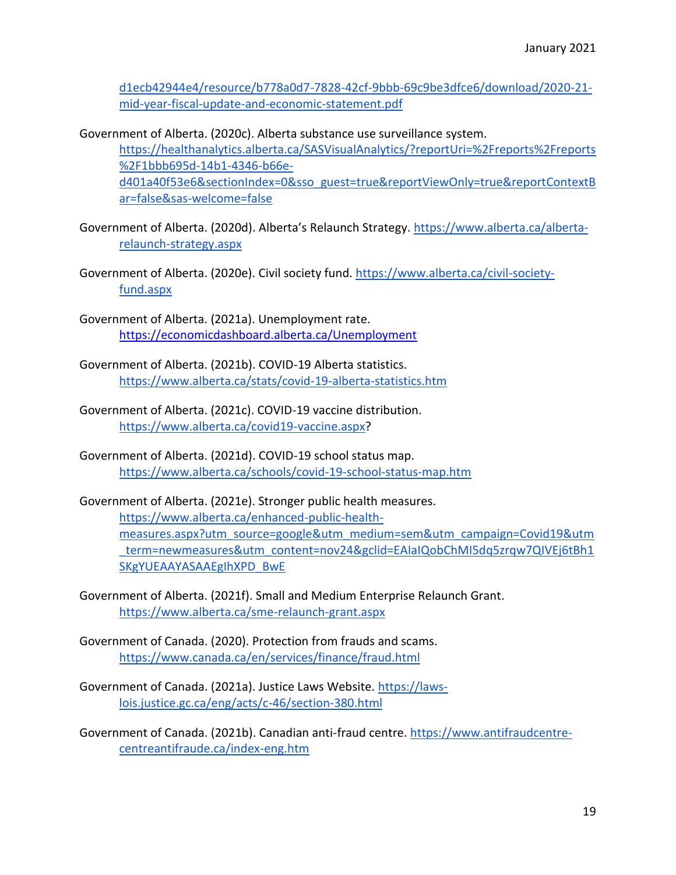[d1ecb42944e4/resource/b778a0d7-7828-42cf-9bbb-69c9be3dfce6/download/2020-21](https://open.alberta.ca/dataset/9c81a5a7-cdf1-49ad-a923-d1ecb42944e4/resource/b778a0d7-7828-42cf-9bbb-69c9be3dfce6/download/2020-21-mid-year-fiscal-update-and-economic-statement.pdf) [mid-year-fiscal-update-and-economic-statement.pdf](https://open.alberta.ca/dataset/9c81a5a7-cdf1-49ad-a923-d1ecb42944e4/resource/b778a0d7-7828-42cf-9bbb-69c9be3dfce6/download/2020-21-mid-year-fiscal-update-and-economic-statement.pdf) 

Government of Alberta. (2020c). Alberta substance use surveillance system.

[https://healthanalytics.alberta.ca/SASVisualAnalytics/?reportUri=%2Freports%2Freports](https://healthanalytics.alberta.ca/SASVisualAnalytics/?reportUri=%2Freports%2Freports%2F1bbb695d-14b1-4346-b66e-d401a40f53e6§ionIndex=0&sso_guest=true&reportViewOnly=true&reportContextBar=false&sas-welcome=false) [%2F1bbb695d-14b1-4346-b66e](https://healthanalytics.alberta.ca/SASVisualAnalytics/?reportUri=%2Freports%2Freports%2F1bbb695d-14b1-4346-b66e-d401a40f53e6§ionIndex=0&sso_guest=true&reportViewOnly=true&reportContextBar=false&sas-welcome=false)[d401a40f53e6&sectionIndex=0&sso\\_guest=true&reportViewOnly=true&reportContextB](https://healthanalytics.alberta.ca/SASVisualAnalytics/?reportUri=%2Freports%2Freports%2F1bbb695d-14b1-4346-b66e-d401a40f53e6§ionIndex=0&sso_guest=true&reportViewOnly=true&reportContextBar=false&sas-welcome=false) [ar=false&sas-welcome=false](https://healthanalytics.alberta.ca/SASVisualAnalytics/?reportUri=%2Freports%2Freports%2F1bbb695d-14b1-4346-b66e-d401a40f53e6§ionIndex=0&sso_guest=true&reportViewOnly=true&reportContextBar=false&sas-welcome=false)

Government of Alberta. (2020d). Alberta's Relaunch Strategy. [https://www.alberta.ca/alberta](https://www.alberta.ca/alberta-relaunch-strategy.aspx)[relaunch-strategy.aspx](https://www.alberta.ca/alberta-relaunch-strategy.aspx)

- Government of Alberta. (2020e). Civil society fund. [https://www.alberta.ca/civil-society](https://www.alberta.ca/civil-society-fund.aspx)[fund.aspx](https://www.alberta.ca/civil-society-fund.aspx)
- Government of Alberta. (2021a). Unemployment rate[.](https://economicdashboard.alberta.ca/Unemployment) <https://economicdashboard.alberta.ca/Unemployment>
- Government of Alberta. (2021b). COVID-19 Alberta statistics. <https://www.alberta.ca/stats/covid-19-alberta-statistics.htm>
- Government of Alberta. (2021c). COVID-19 vaccine distribution. [https://www.alberta.ca/covid19-vaccine.aspx?](https://www.alberta.ca/covid19-vaccine.aspx)
- Government of Alberta. (2021d). COVID-19 school status map. <https://www.alberta.ca/schools/covid-19-school-status-map.htm>
- Government of Alberta. (2021e). Stronger public health measures. [https://www.alberta.ca/enhanced-public-health](https://www.alberta.ca/enhanced-public-health-measures.aspx?utm_source=google&utm_medium=sem&utm_campaign=Covid19&utm_term=newmeasures&utm_content=nov24&gclid=EAIaIQobChMI5dq5zrqw7QIVEj6tBh1SKgYUEAAYASAAEgIhXPD_BwE)[measures.aspx?utm\\_source=google&utm\\_medium=sem&utm\\_campaign=Covid19&utm](https://www.alberta.ca/enhanced-public-health-measures.aspx?utm_source=google&utm_medium=sem&utm_campaign=Covid19&utm_term=newmeasures&utm_content=nov24&gclid=EAIaIQobChMI5dq5zrqw7QIVEj6tBh1SKgYUEAAYASAAEgIhXPD_BwE) [\\_term=newmeasures&utm\\_content=nov24&gclid=EAIaIQobChMI5dq5zrqw7QIVEj6tBh1](https://www.alberta.ca/enhanced-public-health-measures.aspx?utm_source=google&utm_medium=sem&utm_campaign=Covid19&utm_term=newmeasures&utm_content=nov24&gclid=EAIaIQobChMI5dq5zrqw7QIVEj6tBh1SKgYUEAAYASAAEgIhXPD_BwE) [SKgYUEAAYASAAEgIhXPD\\_BwE](https://www.alberta.ca/enhanced-public-health-measures.aspx?utm_source=google&utm_medium=sem&utm_campaign=Covid19&utm_term=newmeasures&utm_content=nov24&gclid=EAIaIQobChMI5dq5zrqw7QIVEj6tBh1SKgYUEAAYASAAEgIhXPD_BwE)
- Government of Alberta. (2021f). Small and Medium Enterprise Relaunch Grant. <https://www.alberta.ca/sme-relaunch-grant.aspx>
- Government of Canada. (2020). Protection from frauds and scams. <https://www.canada.ca/en/services/finance/fraud.html>
- Government of Canada. (2021a). Justice Laws Website. [https://laws](https://laws-lois.justice.gc.ca/eng/acts/c-46/section-380.html)[lois.justice.gc.ca/eng/acts/c-46/section-380.html](https://laws-lois.justice.gc.ca/eng/acts/c-46/section-380.html)

Government of Canada. (2021b). Canadian anti-fraud centre. [https://www.antifraudcentre](https://www.antifraudcentre-centreantifraude.ca/index-eng.htm)[centreantifraude.ca/index-eng.htm](https://www.antifraudcentre-centreantifraude.ca/index-eng.htm)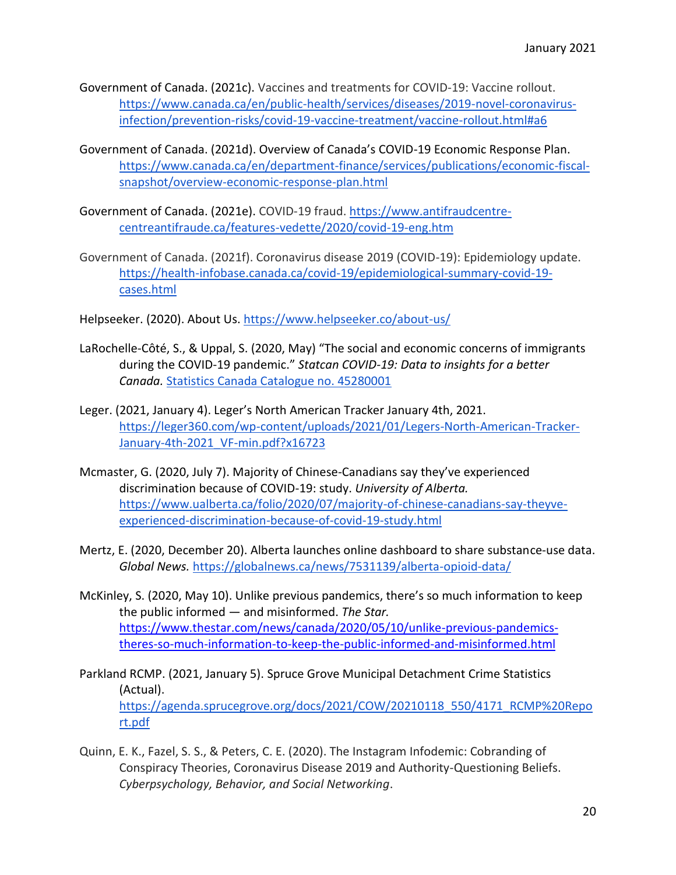- Government of Canada. (2021c). Vaccines and treatments for COVID-19: Vaccine rollout. [https://www.canada.ca/en/public-health/services/diseases/2019-novel-coronavirus](https://www.canada.ca/en/public-health/services/diseases/2019-novel-coronavirus-infection/prevention-risks/covid-19-vaccine-treatment/vaccine-rollout.html#a6)[infection/prevention-risks/covid-19-vaccine-treatment/vaccine-rollout.html#a6](https://www.canada.ca/en/public-health/services/diseases/2019-novel-coronavirus-infection/prevention-risks/covid-19-vaccine-treatment/vaccine-rollout.html#a6)
- Government of Canada. (2021d). Overview of Canada's COVID-19 Economic Response Plan. [https://www.canada.ca/en/department-finance/services/publications/economic-fiscal](https://www.canada.ca/en/department-finance/services/publications/economic-fiscal-snapshot/overview-economic-response-plan.html)[snapshot/overview-economic-response-plan.html](https://www.canada.ca/en/department-finance/services/publications/economic-fiscal-snapshot/overview-economic-response-plan.html)
- Government of Canada. (2021e). COVID-19 fraud. [https://www.antifraudcentre](https://www.antifraudcentre-centreantifraude.ca/features-vedette/2020/covid-19-eng.htm)[centreantifraude.ca/features-vedette/2020/covid-19-eng.htm](https://www.antifraudcentre-centreantifraude.ca/features-vedette/2020/covid-19-eng.htm)
- Government of Canada. (2021f). Coronavirus disease 2019 (COVID-19): Epidemiology update. [https://health-infobase.canada.ca/covid-19/epidemiological-summary-covid-19](https://health-infobase.canada.ca/covid-19/epidemiological-summary-covid-19-cases.html) [cases.html](https://health-infobase.canada.ca/covid-19/epidemiological-summary-covid-19-cases.html)

Helpseeker. (2020). About Us.<https://www.helpseeker.co/about-us/>

- LaRochelle-Côté, S., & Uppal, S. (2020, May) "The social and economic concerns of immigrants during the COVID-19 pandemic." *Statcan COVID-19: Data to insights for a better Canada.* [Statistics Canada Catalogue no. 45280001](https://www150.statcan.gc.ca/n1/en/pub/45-28-0001/2020001/article/00012-eng.pdf?st=T9njnn31)
- Leger. (2021, January 4). Leger's North American Tracker January 4th, 2021. [https://leger360.com/wp-content/uploads/2021/01/Legers-North-American-Tracker-](https://leger360.com/wp-content/uploads/2021/01/Legers-North-American-Tracker-January-4th-2021_VF-min.pdf?x16723)January-4th-2021 VF-min.pdf?x16723
- Mcmaster, G. (2020, July 7). Majority of Chinese-Canadians say they've experienced discrimination because of COVID-19: study. *University of Alberta.*  [https://www.ualberta.ca/folio/2020/07/majority-of-chinese-canadians-say-theyve](https://www.ualberta.ca/folio/2020/07/majority-of-chinese-canadians-say-theyve-experienced-discrimination-because-of-covid-19-study.html)[experienced-discrimination-because-of-covid-19-study.html](https://www.ualberta.ca/folio/2020/07/majority-of-chinese-canadians-say-theyve-experienced-discrimination-because-of-covid-19-study.html)
- Mertz, E. (2020, December 20). Alberta launches online dashboard to share substance-use data. *Global News.* <https://globalnews.ca/news/7531139/alberta-opioid-data/>
- McKinley, S. (2020, May 10). Unlike previous pandemics, there's so much information to keep the public informed — and misinformed. *The Star[.](https://www.thestar.com/news/canada/2020/05/10/unlike-previous-pandemics-theres-so-much-information-to-keep-the-public-informed-and-misinformed.html)* [https://www.thestar.com/news/canada/2020/05/10/unlike-previous-pandemics](https://www.thestar.com/news/canada/2020/05/10/unlike-previous-pandemics-theres-so-much-information-to-keep-the-public-informed-and-misinformed.html)[theres-so-much-information-to-keep-the-public-informed-and-misinformed.html](https://www.thestar.com/news/canada/2020/05/10/unlike-previous-pandemics-theres-so-much-information-to-keep-the-public-informed-and-misinformed.html)
- Parkland RCMP. (2021, January 5). Spruce Grove Municipal Detachment Crime Statistics (Actual). [https://agenda.sprucegrove.org/docs/2021/COW/20210118\\_550/4171\\_RCMP%20Repo](https://agenda.sprucegrove.org/docs/2021/COW/20210118_550/4171_RCMP%20Report.pdf) [rt.pdf](https://agenda.sprucegrove.org/docs/2021/COW/20210118_550/4171_RCMP%20Report.pdf)
- Quinn, E. K., Fazel, S. S., & Peters, C. E. (2020). The Instagram Infodemic: Cobranding of Conspiracy Theories, Coronavirus Disease 2019 and Authority-Questioning Beliefs. *Cyberpsychology, Behavior, and Social Networking*.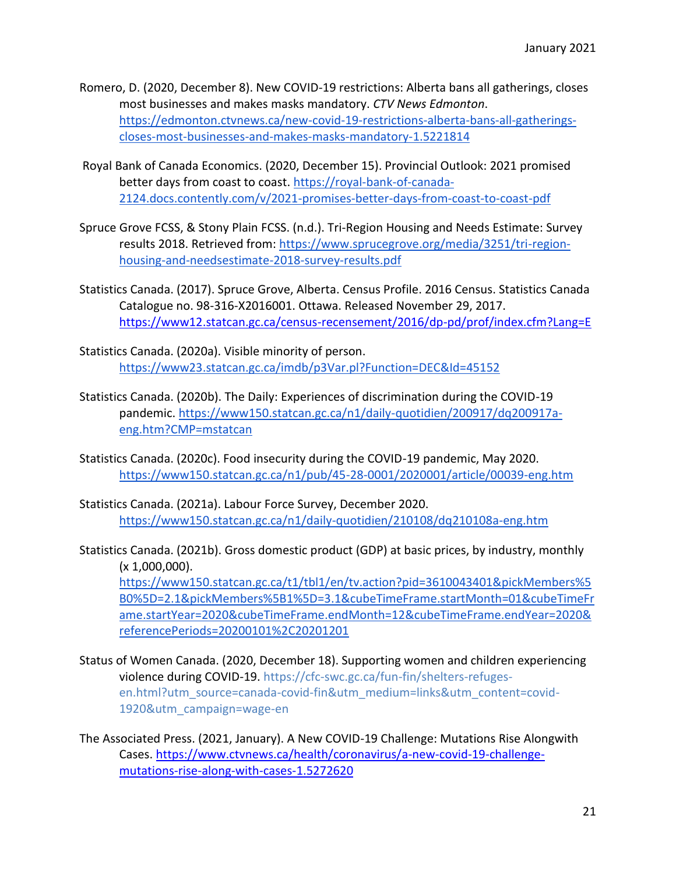- Romero, D. (2020, December 8). New COVID-19 restrictions: Alberta bans all gatherings, closes most businesses and makes masks mandatory. *CTV News Edmonton*. [https://edmonton.ctvnews.ca/new-covid-19-restrictions-alberta-bans-all-gatherings](https://edmonton.ctvnews.ca/new-covid-19-restrictions-alberta-bans-all-gatherings-closes-most-businesses-and-makes-masks-mandatory-1.5221814)[closes-most-businesses-and-makes-masks-mandatory-1.5221814](https://edmonton.ctvnews.ca/new-covid-19-restrictions-alberta-bans-all-gatherings-closes-most-businesses-and-makes-masks-mandatory-1.5221814)
- Royal Bank of Canada Economics. (2020, December 15). Provincial Outlook: 2021 promised better days from coast to coast. [https://royal-bank-of-canada-](https://royal-bank-of-canada-2124.docs.contently.com/v/2021-promises-better-days-from-coast-to-coast-pdf)[2124.docs.contently.com/v/2021-promises-better-days-from-coast-to-coast-pdf](https://royal-bank-of-canada-2124.docs.contently.com/v/2021-promises-better-days-from-coast-to-coast-pdf)
- Spruce Grove FCSS, & Stony Plain FCSS. (n.d.). Tri-Region Housing and Needs Estimate: Survey results 2018. Retrieved from: [https://www.sprucegrove.org/media/3251/tri-region](https://www.sprucegrove.org/media/3251/tri-region-housing-and-needsestimate-2018-survey-results.pdf)[housing-and-needsestimate-2018-survey-results.pdf](https://www.sprucegrove.org/media/3251/tri-region-housing-and-needsestimate-2018-survey-results.pdf)
- Statistics Canada. (2017). Spruce Grove, Alberta. Census Profile. 2016 Census. Statistics Canada Catalogue no. 98-316-X2016001. Ottawa. Released November 29, 2017. <https://www12.statcan.gc.ca/census-recensement/2016/dp-pd/prof/index.cfm?Lang=E>
- Statistics Canada. (2020a). Visible minority of person. <https://www23.statcan.gc.ca/imdb/p3Var.pl?Function=DEC&Id=45152>
- Statistics Canada. (2020b). The Daily: Experiences of discrimination during the COVID-19 pandemic. [https://www150.statcan.gc.ca/n1/daily-quotidien/200917/dq200917a](https://www150.statcan.gc.ca/n1/daily-quotidien/200917/dq200917a-eng.htm?CMP=mstatcan)[eng.htm?CMP=mstatcan](https://www150.statcan.gc.ca/n1/daily-quotidien/200917/dq200917a-eng.htm?CMP=mstatcan)
- Statistics Canada. (2020c). Food insecurity during the COVID-19 pandemic, May 2020. <https://www150.statcan.gc.ca/n1/pub/45-28-0001/2020001/article/00039-eng.htm>
- Statistics Canada. (2021a). Labour Force Survey, December 2020. <https://www150.statcan.gc.ca/n1/daily-quotidien/210108/dq210108a-eng.htm>
- Statistics Canada. (2021b). Gross domestic product (GDP) at basic prices, by industry, monthly (x 1,000,000).

[https://www150.statcan.gc.ca/t1/tbl1/en/tv.action?pid=3610043401&pickMembers%5](https://www150.statcan.gc.ca/t1/tbl1/en/tv.action?pid=3610043401&pickMembers%5B0%5D=2.1&pickMembers%5B1%5D=3.1&cubeTimeFrame.startMonth=01&cubeTimeFrame.startYear=2020&cubeTimeFrame.endMonth=12&cubeTimeFrame.endYear=2020&referencePeriods=20200101%2C20201201) [B0%5D=2.1&pickMembers%5B1%5D=3.1&cubeTimeFrame.startMonth=01&cubeTimeFr](https://www150.statcan.gc.ca/t1/tbl1/en/tv.action?pid=3610043401&pickMembers%5B0%5D=2.1&pickMembers%5B1%5D=3.1&cubeTimeFrame.startMonth=01&cubeTimeFrame.startYear=2020&cubeTimeFrame.endMonth=12&cubeTimeFrame.endYear=2020&referencePeriods=20200101%2C20201201) [ame.startYear=2020&cubeTimeFrame.endMonth=12&cubeTimeFrame.endYear=2020&](https://www150.statcan.gc.ca/t1/tbl1/en/tv.action?pid=3610043401&pickMembers%5B0%5D=2.1&pickMembers%5B1%5D=3.1&cubeTimeFrame.startMonth=01&cubeTimeFrame.startYear=2020&cubeTimeFrame.endMonth=12&cubeTimeFrame.endYear=2020&referencePeriods=20200101%2C20201201) [referencePeriods=20200101%2C20201201](https://www150.statcan.gc.ca/t1/tbl1/en/tv.action?pid=3610043401&pickMembers%5B0%5D=2.1&pickMembers%5B1%5D=3.1&cubeTimeFrame.startMonth=01&cubeTimeFrame.startYear=2020&cubeTimeFrame.endMonth=12&cubeTimeFrame.endYear=2020&referencePeriods=20200101%2C20201201) 

- Status of Women Canada. (2020, December 18). Supporting women and children experiencing violence during COVID-19. [https://cfc-swc.gc.ca/fun-fin/shelters-refuges](https://cfc-swc.gc.ca/fun-fin/shelters-refuges-en.html?utm_source=canada-covid-fin&utm_medium=links&utm_content=covid-1920&utm_campaign=wage-en)[en.html?utm\\_source=canada-covid-fin&utm\\_medium=links&utm\\_content=covid-](https://cfc-swc.gc.ca/fun-fin/shelters-refuges-en.html?utm_source=canada-covid-fin&utm_medium=links&utm_content=covid-1920&utm_campaign=wage-en)[1920&utm\\_campaign=wage-en](https://cfc-swc.gc.ca/fun-fin/shelters-refuges-en.html?utm_source=canada-covid-fin&utm_medium=links&utm_content=covid-1920&utm_campaign=wage-en)
- The Associated Press. (2021, January). A New COVID-19 Challenge: Mutations Rise Alongwith Cases. [https://www.ctvnews.ca/health/coronavirus/a-new-covid-19-challenge](https://www.ctvnews.ca/health/coronavirus/a-new-covid-19-challenge-mutations-rise-along-with-cases-1.5272620)[mutations-rise-along-with-cases-1.5272620](https://www.ctvnews.ca/health/coronavirus/a-new-covid-19-challenge-mutations-rise-along-with-cases-1.5272620)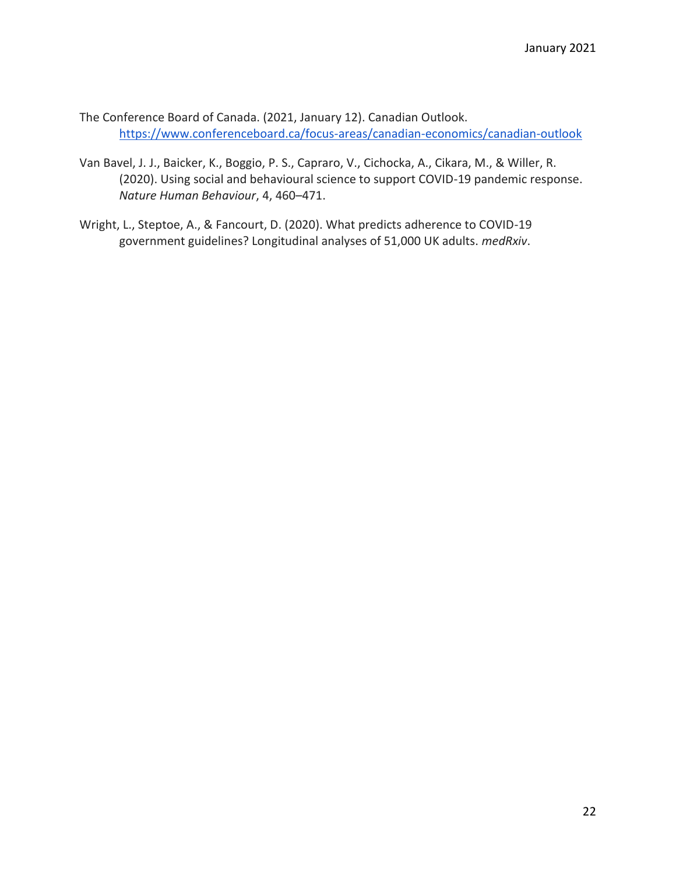The Conference Board of Canada. (2021, January 12). Canadian Outlook. <https://www.conferenceboard.ca/focus-areas/canadian-economics/canadian-outlook>

- Van Bavel, J. J., Baicker, K., Boggio, P. S., Capraro, V., Cichocka, A., Cikara, M., & Willer, R. (2020). Using social and behavioural science to support COVID-19 pandemic response. *Nature Human Behaviour*, 4, 460–471.
- Wright, L., Steptoe, A., & Fancourt, D. (2020). What predicts adherence to COVID-19 government guidelines? Longitudinal analyses of 51,000 UK adults. *medRxiv*.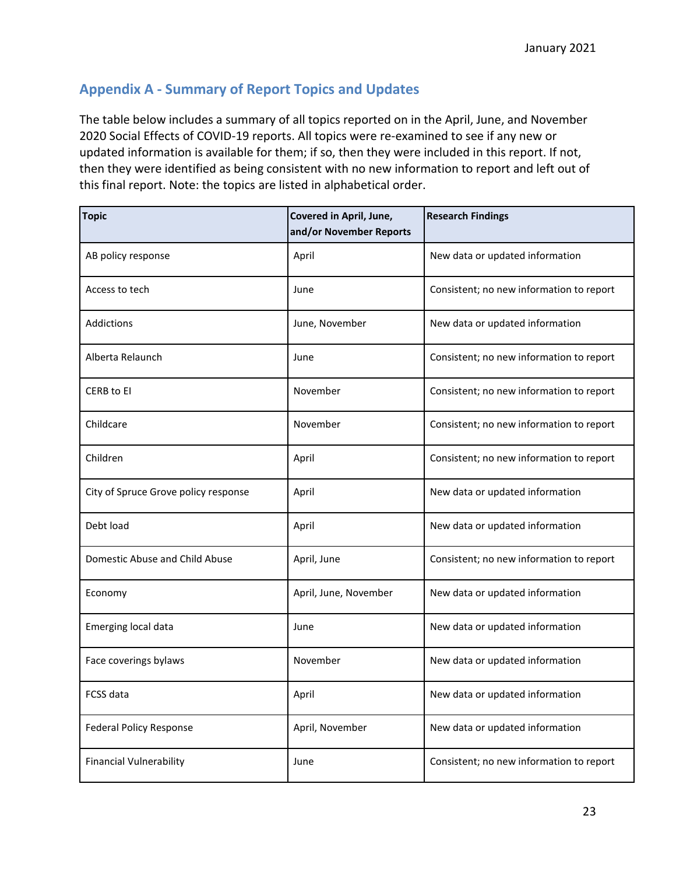# **Appendix A - Summary of Report Topics and Updates**

The table below includes a summary of all topics reported on in the April, June, and November 2020 Social Effects of COVID-19 reports. All topics were re-examined to see if any new or updated information is available for them; if so, then they were included in this report. If not, then they were identified as being consistent with no new information to report and left out of this final report. Note: the topics are listed in alphabetical order.

| <b>Topic</b>                         | Covered in April, June,<br>and/or November Reports | <b>Research Findings</b>                 |
|--------------------------------------|----------------------------------------------------|------------------------------------------|
| AB policy response                   | April                                              | New data or updated information          |
| Access to tech                       | June                                               | Consistent; no new information to report |
| Addictions                           | June, November                                     | New data or updated information          |
| Alberta Relaunch                     | June                                               | Consistent; no new information to report |
| <b>CERB to EI</b>                    | November                                           | Consistent; no new information to report |
| Childcare                            | November                                           | Consistent; no new information to report |
| Children                             | April                                              | Consistent; no new information to report |
| City of Spruce Grove policy response | April                                              | New data or updated information          |
| Debt load                            | April                                              | New data or updated information          |
| Domestic Abuse and Child Abuse       | April, June                                        | Consistent; no new information to report |
| Economy                              | April, June, November                              | New data or updated information          |
| Emerging local data                  | June                                               | New data or updated information          |
| Face coverings bylaws                | November                                           | New data or updated information          |
| <b>FCSS data</b>                     | April                                              | New data or updated information          |
| <b>Federal Policy Response</b>       | April, November                                    | New data or updated information          |
| <b>Financial Vulnerability</b>       | June                                               | Consistent; no new information to report |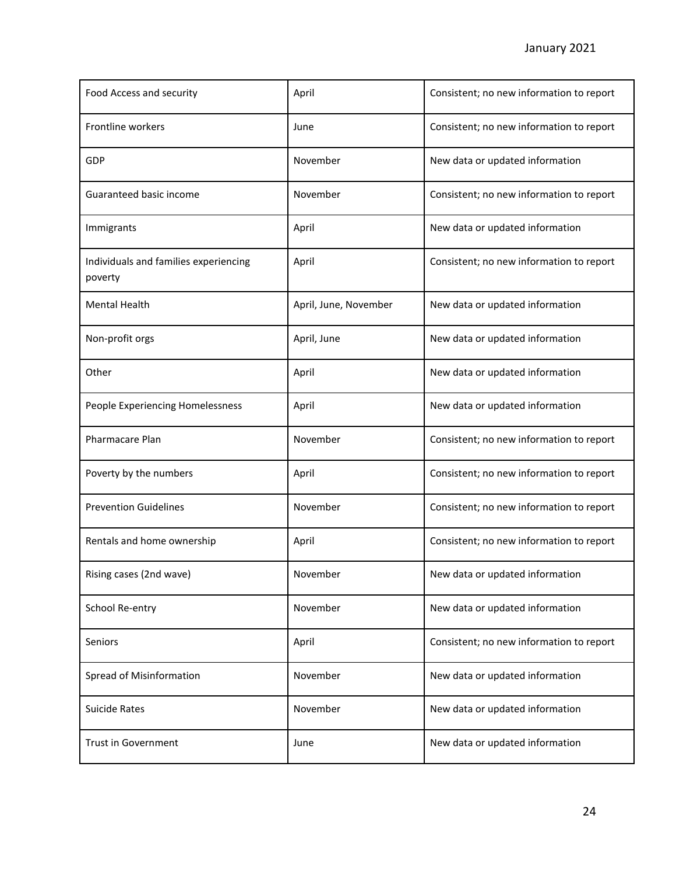| Food Access and security                         | April                 | Consistent; no new information to report |
|--------------------------------------------------|-----------------------|------------------------------------------|
| Frontline workers                                | June                  | Consistent; no new information to report |
| GDP                                              | November              | New data or updated information          |
| Guaranteed basic income                          | November              | Consistent; no new information to report |
| Immigrants                                       | April                 | New data or updated information          |
| Individuals and families experiencing<br>poverty | April                 | Consistent; no new information to report |
| <b>Mental Health</b>                             | April, June, November | New data or updated information          |
| Non-profit orgs                                  | April, June           | New data or updated information          |
| Other                                            | April                 | New data or updated information          |
| People Experiencing Homelessness                 | April                 | New data or updated information          |
| Pharmacare Plan                                  | November              | Consistent; no new information to report |
| Poverty by the numbers                           | April                 | Consistent; no new information to report |
| <b>Prevention Guidelines</b>                     | November              | Consistent; no new information to report |
| Rentals and home ownership                       | April                 | Consistent; no new information to report |
| Rising cases (2nd wave)                          | November              | New data or updated information          |
| School Re-entry                                  | November              | New data or updated information          |
| Seniors                                          | April                 | Consistent; no new information to report |
| Spread of Misinformation                         | November              | New data or updated information          |
| <b>Suicide Rates</b>                             | November              | New data or updated information          |
| Trust in Government                              | June                  | New data or updated information          |